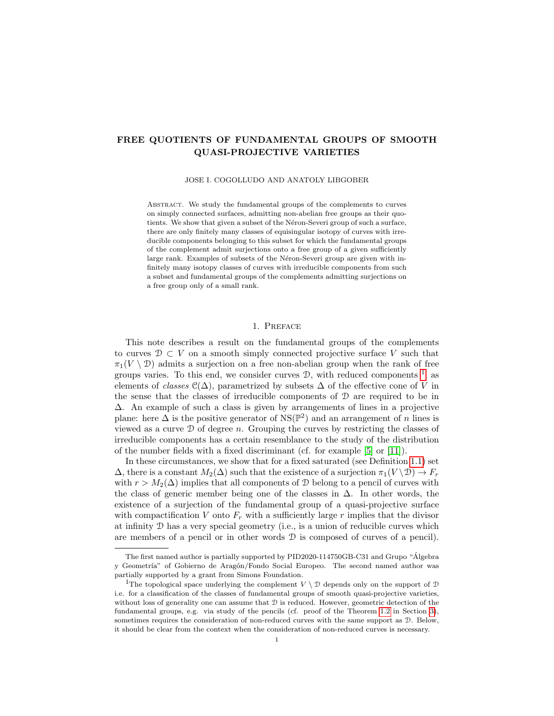# FREE QUOTIENTS OF FUNDAMENTAL GROUPS OF SMOOTH QUASI-PROJECTIVE VARIETIES

JOSE I. COGOLLUDO AND ANATOLY LIBGOBER

ABSTRACT. We study the fundamental groups of the complements to curves on simply connected surfaces, admitting non-abelian free groups as their quotients. We show that given a subset of the Néron-Severi group of such a surface, there are only finitely many classes of equisingular isotopy of curves with irreducible components belonging to this subset for which the fundamental groups of the complement admit surjections onto a free group of a given sufficiently large rank. Examples of subsets of the Néron-Severi group are given with infinitely many isotopy classes of curves with irreducible components from such a subset and fundamental groups of the complements admitting surjections on a free group only of a small rank.

### 1. Preface

This note describes a result on the fundamental groups of the complements to curves  $\mathcal{D} \subset V$  on a smooth simply connected projective surface V such that  $\pi_1(V \setminus \mathcal{D})$  admits a surjection on a free non-abelian group when the rank of free groups varies. To this end, we consider curves  $\mathcal{D}$ , with reduced components  $\frac{1}{2}$  $\frac{1}{2}$  $\frac{1}{2}$ , as elements of classes  $\mathcal{C}(\Delta)$ , parametrized by subsets  $\Delta$  of the effective cone of V in the sense that the classes of irreducible components of  $D$  are required to be in ∆. An example of such a class is given by arrangements of lines in a projective plane: here  $\Delta$  is the positive generator of NS( $\mathbb{P}^2$ ) and an arrangement of n lines is viewed as a curve  $\mathcal D$  of degree n. Grouping the curves by restricting the classes of irreducible components has a certain resemblance to the study of the distribution of the number fields with a fixed discriminant (cf. for example [\[5\]](#page-19-0) or [\[11\]](#page-20-0)).

In these circumstances, we show that for a fixed saturated (see Definition [1.1\)](#page-2-0) set  $\Delta$ , there is a constant  $M_2(\Delta)$  such that the existence of a surjection  $\pi_1(V \setminus \mathcal{D}) \to F_r$ with  $r > M_2(\Delta)$  implies that all components of D belong to a pencil of curves with the class of generic member being one of the classes in  $\Delta$ . In other words, the existence of a surjection of the fundamental group of a quasi-projective surface with compactification V onto  $F_r$  with a sufficiently large r implies that the divisor at infinity  $D$  has a very special geometry (i.e., is a union of reducible curves which are members of a pencil or in other words  $D$  is composed of curves of a pencil).

The first named author is partially supported by PID2020-114750GB-C31 and Grupo "Algebra ´ y Geometría" of Gobierno de Aragón/Fondo Social Europeo. The second named author was partially supported by a grant from Simons Foundation.

<span id="page-0-0"></span><sup>&</sup>lt;sup>1</sup>The topological space underlying the complement  $V \setminus \mathcal{D}$  depends only on the support of  $\mathcal{D}$ i.e. for a classification of the classes of fundamental groups of smooth quasi-projective varieties, without loss of generality one can assume that D is reduced. However, geometric detection of the fundamental groups, e.g. via study of the pencils (cf. proof of the Theorem [1.2](#page-2-1) in Section [3\)](#page-5-0), sometimes requires the consideration of non-reduced curves with the same support as  $D$ . Below, it should be clear from the context when the consideration of non-reduced curves is necessary.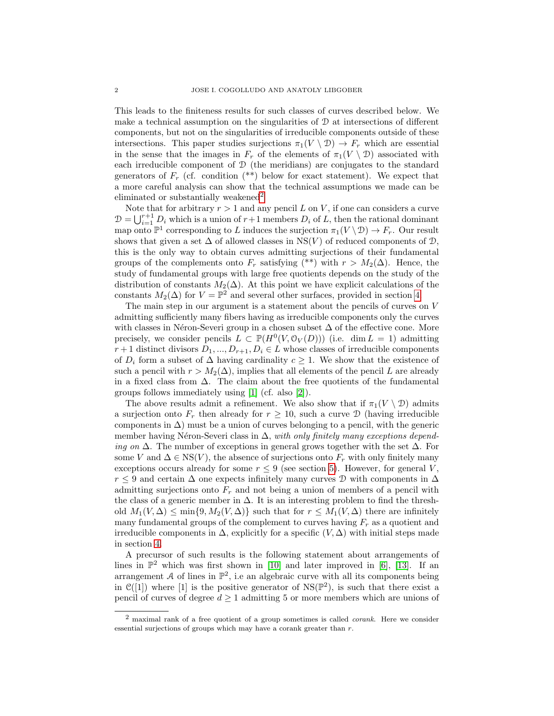This leads to the finiteness results for such classes of curves described below. We make a technical assumption on the singularities of  $\mathcal D$  at intersections of different components, but not on the singularities of irreducible components outside of these intersections. This paper studies surjections  $\pi_1(V \setminus \mathcal{D}) \to F_r$  which are essential in the sense that the images in  $F_r$  of the elements of  $\pi_1(V \setminus \mathcal{D})$  associated with each irreducible component of  $D$  (the meridians) are conjugates to the standard generators of  $F_r$  (cf. condition  $(**)$  below for exact statement). We expect that a more careful analysis can show that the technical assumptions we made can be eliminated or substantially weakened<sup>[2](#page-1-0)</sup>

Note that for arbitrary  $r > 1$  and any pencil L on V, if one can considers a curve  $D = \bigcup_{i=1}^{r+1} D_i$  which is a union of  $r+1$  members  $D_i$  of L, then the rational dominant map onto  $\mathbb{P}^1$  corresponding to L induces the surjection  $\pi_1(V \setminus \mathcal{D}) \to F_r$ . Our result shows that given a set  $\Delta$  of allowed classes in NS(V) of reduced components of  $\mathcal{D}$ , this is the only way to obtain curves admitting surjections of their fundamental groups of the complements onto  $F_r$  satisfying (\*\*) with  $r > M_2(\Delta)$ . Hence, the study of fundamental groups with large free quotients depends on the study of the distribution of constants  $M_2(\Delta)$ . At this point we have explicit calculations of the constants  $M_2(\Delta)$  for  $V = \mathbb{P}^2$  and several other surfaces, provided in section [4.](#page-11-0)

The main step in our argument is a statement about the pencils of curves on V admitting sufficiently many fibers having as irreducible components only the curves with classes in Néron-Severi group in a chosen subset  $\Delta$  of the effective cone. More precisely, we consider pencils  $L \subset \mathbb{P}(H^0(V, \mathcal{O}_V(D)))$  (i.e. dim  $L = 1$ ) admitting  $r+1$  distinct divisors  $D_1, ..., D_{r+1}, D_i \in L$  whose classes of irreducible components of  $D_i$  form a subset of  $\Delta$  having cardinality  $c \geq 1$ . We show that the existence of such a pencil with  $r > M_2(\Delta)$ , implies that all elements of the pencil L are already in a fixed class from  $\Delta$ . The claim about the free quotients of the fundamental groups follows immediately using [\[1\]](#page-19-1) (cf. also [\[2\]](#page-19-2)).

The above results admit a refinement. We also show that if  $\pi_1(V \setminus \mathcal{D})$  admits a surjection onto  $F_r$  then already for  $r \ge 10$ , such a curve  $\mathcal D$  (having irreducible components in  $\Delta$ ) must be a union of curves belonging to a pencil, with the generic member having Néron-Severi class in  $\Delta$ , with only finitely many exceptions depending on  $\Delta$ . The number of exceptions in general grows together with the set  $\Delta$ . For some V and  $\Delta \in \text{NS}(V)$ , the absence of surjections onto  $F_r$  with only finitely many exceptions occurs already for some  $r \leq 9$  (see section [5\)](#page-14-0). However, for general V,  $r \leq 9$  and certain  $\Delta$  one expects infinitely many curves D with components in  $\Delta$ admitting surjections onto  $F_r$  and not being a union of members of a pencil with the class of a generic member in  $\Delta$ . It is an interesting problem to find the threshold  $M_1(V, \Delta) \le \min\{9, M_2(V, \Delta)\}\$  such that for  $r \le M_1(V, \Delta)$  there are infinitely many fundamental groups of the complement to curves having  $F_r$  as a quotient and irreducible components in  $\Delta$ , explicitly for a specific  $(V, \Delta)$  with initial steps made in section [4.](#page-11-0)

A precursor of such results is the following statement about arrangements of lines in  $\mathbb{P}^2$  which was first shown in [\[10\]](#page-20-1) and later improved in [\[6\]](#page-19-3), [\[13\]](#page-20-2). If an arrangement A of lines in  $\mathbb{P}^2$ , i.e an algebraic curve with all its components being in  $\mathcal{C}([1])$  where [1] is the positive generator of NS( $\mathbb{P}^2$ ), is such that there exist a pencil of curves of degree  $d \geq 1$  admitting 5 or more members which are unions of

<span id="page-1-0"></span><sup>2</sup> maximal rank of a free quotient of a group sometimes is called corank. Here we consider essential surjections of groups which may have a corank greater than  $r$ .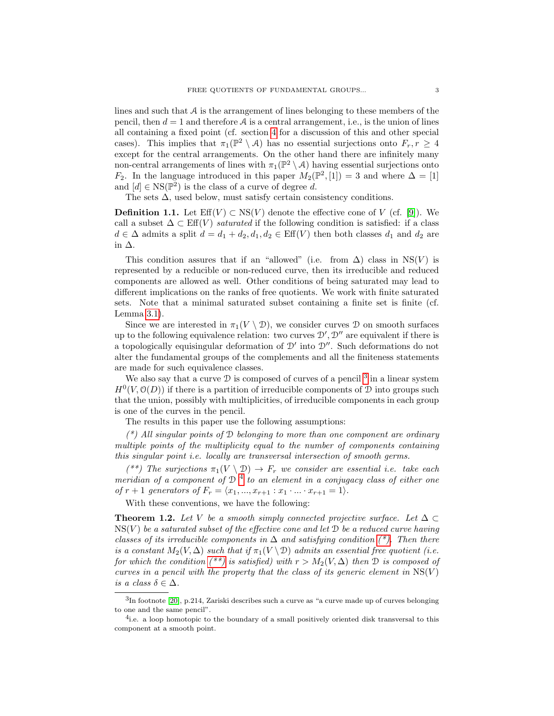lines and such that  $A$  is the arrangement of lines belonging to these members of the pencil, then  $d = 1$  and therefore A is a central arrangement, i.e., is the union of lines all containing a fixed point (cf. section [4](#page-11-0) for a discussion of this and other special cases). This implies that  $\pi_1(\mathbb{P}^2 \setminus \mathcal{A})$  has no essential surjections onto  $F_r, r \geq 4$ except for the central arrangements. On the other hand there are infinitely many non-central arrangements of lines with  $\pi_1(\mathbb{P}^2 \setminus \mathcal{A})$  having essential surjections onto  $F_2$ . In the language introduced in this paper  $M_2(\mathbb{P}^2, [1]) = 3$  and where  $\Delta = [1]$ and  $[d] \in \text{NS}(\mathbb{P}^2)$  is the class of a curve of degree d.

The sets  $\Delta$ , used below, must satisfy certain consistency conditions.

<span id="page-2-0"></span>**Definition 1.1.** Let  $\text{Eff}(V) \subset \text{NS}(V)$  denote the effective cone of V (cf. [\[9\]](#page-19-4)). We call a subset  $\Delta \subset \mathrm{Eff}(V)$  *saturated* if the following condition is satisfied: if a class  $d \in \Delta$  admits a split  $d = d_1 + d_2, d_1, d_2 \in \text{Eff}(V)$  then both classes  $d_1$  and  $d_2$  are in ∆.

This condition assures that if an "allowed" (i.e. from  $\Delta$ ) class in NS(V) is represented by a reducible or non-reduced curve, then its irreducible and reduced components are allowed as well. Other conditions of being saturated may lead to different implications on the ranks of free quotients. We work with finite saturated sets. Note that a minimal saturated subset containing a finite set is finite (cf. Lemma [3.1\)](#page-5-1).

Since we are interested in  $\pi_1(V \setminus \mathcal{D})$ , we consider curves  $\mathcal D$  on smooth surfaces up to the following equivalence relation: two curves  $\mathcal{D}', \mathcal{D}''$  are equivalent if there is a topologically equisingular deformation of  $\mathcal{D}'$  into  $\mathcal{D}''$ . Such deformations do not alter the fundamental groups of the complements and all the finiteness statements are made for such equivalence classes.

We also say that a curve  $\mathcal D$  is composed of curves of a pencil<sup>[3](#page-2-2)</sup> in a linear system  $H^0(V, \mathcal{O}(D))$  if there is a partition of irreducible components of D into groups such that the union, possibly with multiplicities, of irreducible components in each group is one of the curves in the pencil.

The results in this paper use the following assumptions:

 $(*)$  All singular points of D belonging to more than one component are ordinary multiple points of the multiplicity equal to the number of components containing this singular point i.e. locally are transversal intersection of smooth germs.

(\*\*) The surjections  $\pi_1(V \setminus \mathcal{D}) \to F_r$  we consider are essential i.e. take each meridian of a component of  $D^{-4}$  $D^{-4}$  $D^{-4}$  to an element in a conjugacy class of either one of  $r + 1$  generators of  $F_r = \langle x_1, ..., x_{r+1} : x_1 \cdot ... \cdot x_{r+1} = 1 \rangle$ .

With these conventions, we have the following:

<span id="page-2-1"></span>**Theorem 1.2.** Let V be a smooth simply connected projective surface. Let  $\Delta \subset$  $NS(V)$  be a saturated subset of the effective cone and let  $\mathcal D$  be a reduced curve having classes of its irreducible components in  $\Delta$  and satisfying condition [\(\\*\).](#page-2-0) Then there is a constant  $M_2(V, \Delta)$  such that if  $\pi_1(V \setminus \mathcal{D})$  admits an essential free quotient (i.e. for which the condition [\(\\*\\*\)](#page-2-0) is satisfied) with  $r > M_2(V, \Delta)$  then D is composed of curves in a pencil with the property that the class of its generic element in  $\text{NS}(V)$ is a class  $\delta \in \Delta$ .

<span id="page-2-2"></span> ${}^{3}$ In footnote [\[20\]](#page-20-3), p.214, Zariski describes such a curve as "a curve made up of curves belonging to one and the same pencil".

<span id="page-2-3"></span><sup>&</sup>lt;sup>4</sup>i.e. a loop homotopic to the boundary of a small positively oriented disk transversal to this component at a smooth point.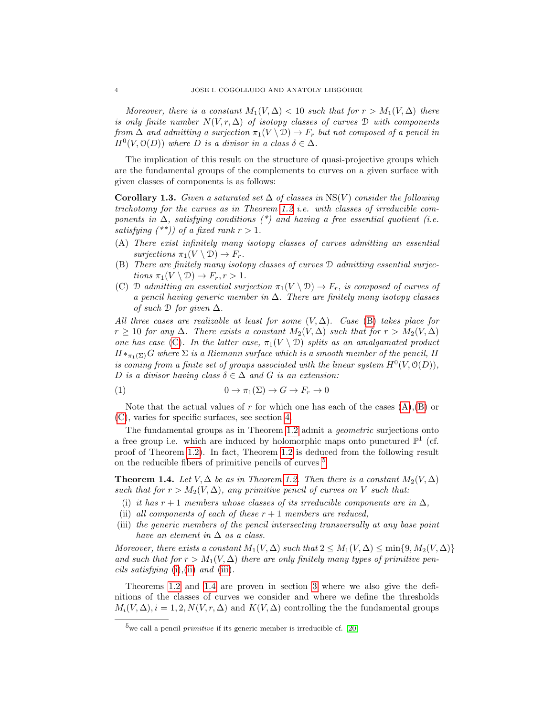Moreover, there is a constant  $M_1(V, \Delta) < 10$  such that for  $r > M_1(V, \Delta)$  there is only finite number  $N(V, r, \Delta)$  of isotopy classes of curves D with components from  $\Delta$  and admitting a surjection  $\pi_1(V \setminus \mathcal{D}) \to F_r$  but not composed of a pencil in  $H^0(V, \mathcal{O}(D))$  where D is a divisor in a class  $\delta \in \Delta$ .

The implication of this result on the structure of quasi-projective groups which are the fundamental groups of the complements to curves on a given surface with given classes of components is as follows:

<span id="page-3-8"></span>Corollary 1.3. Given a saturated set  $\Delta$  of classes in NS(V) consider the following trichotomy for the curves as in Theorem [1.2](#page-2-1) i.e. with classes of irreducible components in  $\Delta$ , satisfying conditions (\*) and having a free essential quotient (i.e. satisfying  $(**)$  of a fixed rank  $r > 1$ .

- <span id="page-3-2"></span>(A) There exist infinitely many isotopy classes of curves admitting an essential surjections  $\pi_1(V \setminus \mathcal{D}) \to F_r$ .
- <span id="page-3-0"></span>(B) There are finitely many isotopy classes of curves D admitting essential surjections  $\pi_1(V \setminus \mathcal{D}) \to F_r, r > 1$ .
- <span id="page-3-1"></span>(C) D admitting an essential surjection  $\pi_1(V \setminus \mathcal{D}) \to F_r$ , is composed of curves of a pencil having generic member in  $\Delta$ . There are finitely many isotopy classes of such  $\mathcal D$  for given  $\Delta$ .

All three cases are realizable at least for some  $(V, \Delta)$ . Case [\(B\)](#page-3-0) takes place for  $r \geq 10$  for any  $\Delta$ . There exists a constant  $M_2(V, \Delta)$  such that for  $r > M_2(V, \Delta)$ one has case [\(C\)](#page-3-1). In the latter case,  $\pi_1(V \setminus D)$  splits as an amalgamated product  $H\ast_{\pi_1(\Sigma)} G$  where  $\Sigma$  is a Riemann surface which is a smooth member of the pencil, H is coming from a finite set of groups associated with the linear system  $H^0(V, \mathcal{O}(D)),$ D is a divisor having class  $\delta \in \Delta$  and G is an extension:

<span id="page-3-9"></span>
$$
(1) \t\t 0 \to \pi_1(\Sigma) \to G \to F_r \to 0
$$

Note that the actual values of r for which one has each of the cases  $(A),(B)$  $(A),(B)$  $(A),(B)$  or [\(C\)](#page-3-1), varies for specific surfaces, see section [4.](#page-11-0)

The fundamental groups as in Theorem [1.2](#page-2-1) admit a *geometric* surjections onto a free group i.e. which are induced by holomorphic maps onto punctured  $\mathbb{P}^1$  (cf. proof of Theorem [1.2\)](#page-2-1). In fact, Theorem [1.2](#page-2-1) is deduced from the following result on the reducible fibers of primitive pencils of curves [5](#page-3-3)

<span id="page-3-7"></span>**Theorem 1.4.** Let  $V, \Delta$  be as in Theorem [1.2.](#page-2-1) Then there is a constant  $M_2(V, \Delta)$ such that for  $r > M_2(V, \Delta)$ , any primitive pencil of curves on V such that:

- <span id="page-3-4"></span>(i) it has  $r + 1$  members whose classes of its irreducible components are in  $\Delta$ ,
- <span id="page-3-5"></span>(ii) all components of each of these  $r + 1$  members are reduced,
- <span id="page-3-6"></span>(iii) the generic members of the pencil intersecting transversally at any base point have an element in  $\Delta$  as a class.

Moreover, there exists a constant  $M_1(V, \Delta)$  such that  $2 \leq M_1(V, \Delta) \leq \min\{9, M_2(V, \Delta)\}\$ and such that for  $r > M_1(V, \Delta)$  there are only finitely many types of primitive pen*cils satisfying* [\(i\)](#page-3-4),[\(ii\)](#page-3-5) and [\(iii\)](#page-3-6).

Theorems [1.2](#page-2-1) and [1.4](#page-3-7) are proven in section [3](#page-5-0) where we also give the definitions of the classes of curves we consider and where we define the thresholds  $M_i(V, \Delta), i = 1, 2, N(V, r, \Delta)$  and  $K(V, \Delta)$  controlling the the fundamental groups

<span id="page-3-3"></span><sup>&</sup>lt;sup>5</sup>we call a pencil *primitive* if its generic member is irreducible cf. [\[20\]](#page-20-3)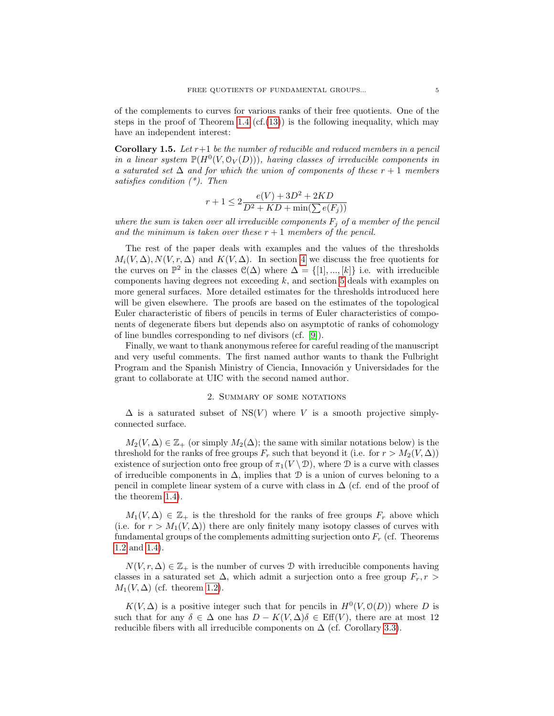of the complements to curves for various ranks of their free quotients. One of the steps in the proof of Theorem [1.4](#page-3-7)  $(cf.(13))$  $(cf.(13))$  $(cf.(13))$  is the following inequality, which may have an independent interest:

<span id="page-4-0"></span>**Corollary 1.5.** Let  $r+1$  be the number of reducible and reduced members in a pencil in a linear system  $\mathbb{P}(H^0(V, \mathcal{O}_V(D)))$ , having classes of irreducible components in a saturated set  $\Delta$  and for which the union of components of these  $r + 1$  members satisfies condition (\*). Then

$$
r+1 \le 2\frac{e(V) + 3D^2 + 2KD}{D^2 + KD + \min(\sum e(F_j))}
$$

where the sum is taken over all irreducible components  $F_j$  of a member of the pencil and the minimum is taken over these  $r + 1$  members of the pencil.

The rest of the paper deals with examples and the values of the thresholds  $M_i(V, \Delta), N(V, r, \Delta)$  and  $K(V, \Delta)$ . In section [4](#page-11-0) we discuss the free quotients for the curves on  $\mathbb{P}^2$  in the classes  $\mathcal{C}(\Delta)$  where  $\Delta = \{[1], ..., [k]\}$  i.e. with irreducible components having degrees not exceeding  $k$ , and section [5](#page-14-0) deals with examples on more general surfaces. More detailed estimates for the thresholds introduced here will be given elsewhere. The proofs are based on the estimates of the topological Euler characteristic of fibers of pencils in terms of Euler characteristics of components of degenerate fibers but depends also on asymptotic of ranks of cohomology of line bundles corresponding to nef divisors (cf. [\[9\]](#page-19-4)).

Finally, we want to thank anonymous referee for careful reading of the manuscript and very useful comments. The first named author wants to thank the Fulbright Program and the Spanish Ministry of Ciencia, Innovación y Universidades for the grant to collaborate at UIC with the second named author.

### 2. Summary of some notations

 $\Delta$  is a saturated subset of NS(V) where V is a smooth projective simplyconnected surface.

 $M_2(V, \Delta) \in \mathbb{Z}_+$  (or simply  $M_2(\Delta)$ ; the same with similar notations below) is the threshold for the ranks of free groups  $F_r$  such that beyond it (i.e. for  $r > M_2(V, \Delta)$ ) existence of surjection onto free group of  $\pi_1(V \setminus \mathcal{D})$ , where  $\mathcal D$  is a curve with classes of irreducible components in  $\Delta$ , implies that  $\mathcal D$  is a union of curves beloning to a pencil in complete linear system of a curve with class in  $\Delta$  (cf. end of the proof of the theorem [1.4\)](#page-3-7).

 $M_1(V,\Delta) \in \mathbb{Z}_+$  is the threshold for the ranks of free groups  $F_r$  above which (i.e. for  $r > M_1(V, \Delta)$ ) there are only finitely many isotopy classes of curves with fundamental groups of the complements admitting surjection onto  $F_r$  (cf. Theorems [1.2](#page-2-1) and [1.4\)](#page-3-7).

 $N(V, r, \Delta) \in \mathbb{Z}_+$  is the number of curves D with irreducible components having classes in a saturated set  $\Delta$ , which admit a surjection onto a free group  $F_r$ ,  $r >$  $M_1(V,\Delta)$  (cf. theorem [1.2\)](#page-2-1).

 $K(V, \Delta)$  is a positive integer such that for pencils in  $H^0(V, \mathcal{O}(D))$  where D is such that for any  $\delta \in \Delta$  one has  $D - K(V, \Delta)\delta \in \text{Eff}(V)$ , there are at most 12 reducible fibers with all irreducible components on  $\Delta$  (cf. Corollary [3.3\)](#page-9-0).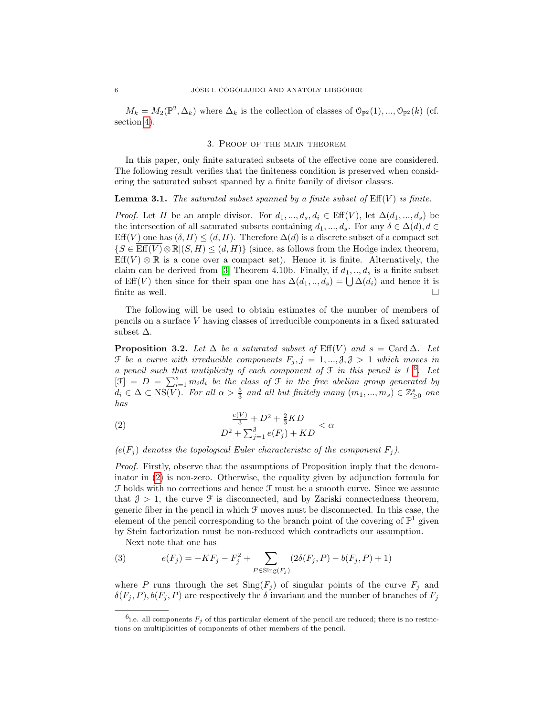$M_k = M_2(\mathbb{P}^2, \Delta_k)$  where  $\Delta_k$  is the collection of classes of  $\mathcal{O}_{\mathbb{P}^2}(1), ..., \mathcal{O}_{\mathbb{P}^2}(k)$  (cf. section [4\)](#page-11-0).

### 3. Proof of the main theorem

<span id="page-5-0"></span>In this paper, only finite saturated subsets of the effective cone are considered. The following result verifies that the finiteness condition is preserved when considering the saturated subset spanned by a finite family of divisor classes.

## <span id="page-5-1"></span>**Lemma 3.1.** The saturated subset spanned by a finite subset of  $\mathrm{Eff}(V)$  is finite.

*Proof.* Let H be an ample divisor. For  $d_1, ..., d_s, d_i \in \text{Eff}(V)$ , let  $\Delta(d_1, ..., d_s)$  be the intersection of all saturated subsets containing  $d_1, ..., d_s$ . For any  $\delta \in \Delta(d), d \in$ Eff(V) one has  $(\delta, H) \leq (d, H)$ . Therefore  $\Delta(d)$  is a discrete subset of a compact set  ${S \in \overline{\mathrm{Eff}(V)} \otimes \mathbb{R} | (S, H) \leq (d, H)}$  (since, as follows from the Hodge index theorem,  $Eff(V) \otimes \mathbb{R}$  is a cone over a compact set). Hence it is finite. Alternatively, the claim can be derived from [\[3\]](#page-19-5) Theorem 4.10b. Finally, if  $d_1, ..., d_s$  is a finite subset of Eff(V) then since for their span one has  $\Delta(d_1, ..., d_s) = \bigcup \Delta(d_i)$  and hence it is finite as well.  $\hfill \square$ 

The following will be used to obtain estimates of the number of members of pencils on a surface V having classes of irreducible components in a fixed saturated subset  $\Delta$ .

<span id="page-5-5"></span>**Proposition 3.2.** Let  $\Delta$  be a saturated subset of Eff(V) and  $s = \text{Card } \Delta$ . Let  $\mathcal F$  be a curve with irreducible components  $F_j$ ,  $j = 1, ..., \mathcal{J}, \mathcal{J} > 1$  which moves in a pencil such that mutiplicity of each component of  $\mathfrak F$  in this pencil is 1<sup>[6](#page-5-2)</sup>. Let  $[\mathfrak{F}] = D = \sum_{i=1}^s m_i d_i$  be the class of  $\mathfrak{F}$  in the free abelian group generated by  $d_i \in \Delta \subset \text{NS}(V)$ . For all  $\alpha > \frac{5}{3}$  and all but finitely many  $(m_1, ..., m_s) \in \mathbb{Z}_{\geq 0}^s$  one has

<span id="page-5-3"></span>(2) 
$$
\frac{\frac{e(V)}{3} + D^2 + \frac{2}{3}KD}{D^2 + \sum_{j=1}^{3} e(F_j) + KD} < \alpha
$$

 $(e(F_i)$  denotes the topological Euler characteristic of the component  $F_i$ ).

Proof. Firstly, observe that the assumptions of Proposition imply that the denominator in [\(2\)](#page-5-3) is non-zero. Otherwise, the equality given by adjunction formula for  ${\mathcal F}$  holds with no corrections and hence  ${\mathcal F}$  must be a smooth curve. Since we assume that  $\beta > 1$ , the curve  $\mathcal F$  is disconnected, and by Zariski connectedness theorem, generic fiber in the pencil in which  $\mathcal F$  moves must be disconnected. In this case, the element of the pencil corresponding to the branch point of the covering of  $\mathbb{P}^1$  given by Stein factorization must be non-reduced which contradicts our assumption.

<span id="page-5-4"></span>Next note that one has

(3) 
$$
e(F_j) = -KF_j - F_j^2 + \sum_{P \in \text{Sing}(F_j)} (2\delta(F_j, P) - b(F_j, P) + 1)
$$

where P runs through the set  $\text{Sing}(F_j)$  of singular points of the curve  $F_j$  and  $\delta(F_j, P), b(F_j, P)$  are respectively the  $\delta$  invariant and the number of branches of  $F_j$ 

<span id="page-5-2"></span><sup>&</sup>lt;sup>6</sup>i.e. all components  $F_j$  of this particular element of the pencil are reduced; there is no restrictions on multiplicities of components of other members of the pencil.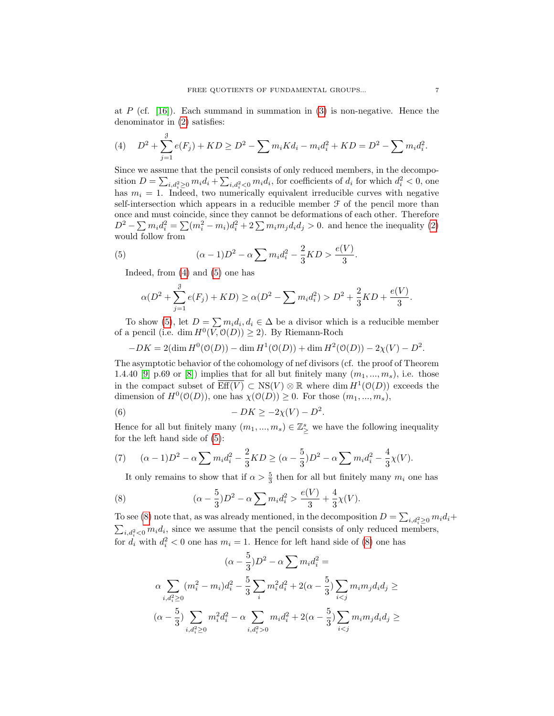at P (cf. [\[16\]](#page-20-4)). Each summand in summation in [\(3\)](#page-5-4) is non-negative. Hence the denominator in [\(2\)](#page-5-3) satisfies:

<span id="page-6-0"></span>(4) 
$$
D^{2} + \sum_{j=1}^{3} e(F_{j}) + KD \ge D^{2} - \sum m_{i}Kd_{i} - m_{i}d_{i}^{2} + KD = D^{2} - \sum m_{i}d_{i}^{2}.
$$

Since we assume that the pencil consists of only reduced members, in the decomposition  $D = \sum_{i,d_i^2 \geq 0} m_i d_i + \sum_{i,d_i^2 < 0} m_i d_i$ , for coefficients of  $d_i$  for which  $d_i^2 < 0$ , one has  $m_i = 1$ . Indeed, two numerically equivalent irreducible curves with negative self-intersection which appears in a reducible member  $\mathcal F$  of the pencil more than once and must coincide, since they cannot be deformations of each other. Therefore  $D^2 - \sum m_i d_i^2 = \sum (m_i^2 - m_i) d_i^2 + 2 \sum m_i m_j d_i d_j > 0$ . and hence the inequality [\(2\)](#page-5-3) would follow from

(5) 
$$
(\alpha - 1)D^2 - \alpha \sum m_i d_i^2 - \frac{2}{3}KD > \frac{e(V)}{3}.
$$

Indeed, from [\(4\)](#page-6-0) and [\(5\)](#page-6-1) one has

<span id="page-6-1"></span>
$$
\alpha(D^2 + \sum_{j=1}^{\mathcal{J}} e(F_j) + KD) \ge \alpha(D^2 - \sum m_i d_i^2) > D^2 + \frac{2}{3}KD + \frac{e(V)}{3}.
$$

To show [\(5\)](#page-6-1), let  $D = \sum m_i d_i, d_i \in \Delta$  be a divisor which is a reducible member of a pencil (i.e. dim  $H^0(V, \mathcal{O}(D)) \geq 2$ ). By Riemann-Roch

$$
-DK = 2(\dim H^0(\mathcal{O}(D)) - \dim H^1(\mathcal{O}(D)) + \dim H^2(\mathcal{O}(D)) - 2\chi(V) - D^2.
$$

The asymptotic behavior of the cohomology of nef divisors (cf. the proof of Theorem 1.4.40 [\[9\]](#page-19-4) p.69 or [\[8\]](#page-19-6)) implies that for all but finitely many  $(m_1, ..., m_s)$ , i.e. those in the compact subset of  $\overline{\mathrm{Eff}(V)} \subset \mathrm{NS}(V) \otimes \mathbb{R}$  where  $\dim H^1(\mathcal{O}(D))$  exceeds the dimension of  $H^0(\mathcal{O}(D))$ , one has  $\chi(\mathcal{O}(D)) \geq 0$ . For those  $(m_1, ..., m_s)$ ,

(6) 
$$
-DK \ge -2\chi(V) - D^2.
$$

Hence for all but finitely many  $(m_1, ..., m_s) \in \mathbb{Z}_\ge^s$  we have the following inequality for the left hand side of [\(5\)](#page-6-1):

(7) 
$$
(\alpha - 1)D^2 - \alpha \sum m_i d_i^2 - \frac{2}{3}KD \geq (\alpha - \frac{5}{3})D^2 - \alpha \sum m_i d_i^2 - \frac{4}{3}\chi(V).
$$

<span id="page-6-2"></span>It only remains to show that if  $\alpha > \frac{5}{3}$  then for all but finitely many  $m_i$  one has

(8) 
$$
(\alpha - \frac{5}{3})D^2 - \alpha \sum m_i d_i^2 > \frac{e(V)}{3} + \frac{4}{3}\chi(V).
$$

To see [\(8\)](#page-6-2) note that, as was already mentioned, in the decomposition  $D = \sum_{i,d_i^2 \geq 0} m_i d_i +$  $\sum_{i,d_i^2<0} m_i d_i$ , since we assume that the pencil consists of only reduced members, for  $d_i$  with  $d_i^2 < 0$  one has  $m_i = 1$ . Hence for left hand side of [\(8\)](#page-6-2) one has

$$
(\alpha - \frac{5}{3})D^2 - \alpha \sum m_i d_i^2 =
$$
  

$$
\alpha \sum_{i,d_i^2 \ge 0} (m_i^2 - m_i) d_i^2 - \frac{5}{3} \sum_i m_i^2 d_i^2 + 2(\alpha - \frac{5}{3}) \sum_{i < j} m_i m_j d_i d_j \ge
$$
  

$$
(\alpha - \frac{5}{3}) \sum_{i,d_i^2 \ge 0} m_i^2 d_i^2 - \alpha \sum_{i,d_i^2 > 0} m_i d_i^2 + 2(\alpha - \frac{5}{3}) \sum_{i < j} m_i m_j d_i d_j \ge
$$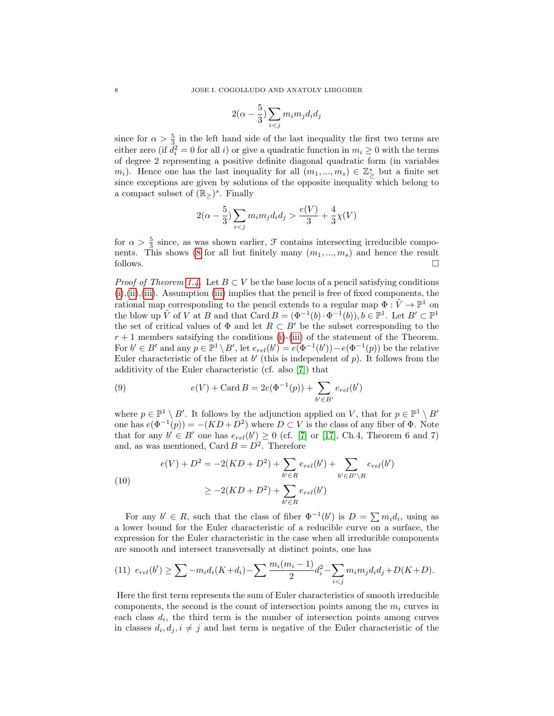$$
2(\alpha-\frac{5}{3})\sum_{i
$$

since for  $\alpha > \frac{5}{3}$  in the left hand side of the last inequality the first two terms are either zero (if  $d_i^2 = 0$  for all i) or give a quadratic function in  $m_i \geq 0$  with the terms of degree 2 representing a positive definite diagonal quadratic form (in variables  $(m_i)$ . Hence one has the last inequality for all  $(m_1, ..., m_s) \in \mathbb{Z}_\geq^s$  but a finite set since exceptions are given by solutions of the opposite inequality which belong to a compact subset of  $(\mathbb{R}_{\geq})^s$ . Finally

$$
2(\alpha - \frac{5}{3}) \sum_{i < j} m_i m_j d_i d_j > \frac{e(V)}{3} + \frac{4}{3} \chi(V)
$$

for  $\alpha > \frac{5}{3}$  since, as was shown earlier,  $\mathcal F$  contains intersecting irreducible compo-nents. This shows [\(8](#page-6-2) for all but finitely many  $(m_1, ..., m_s)$  and hence the result follows.  $\Box$ 

*Proof of Theorem [1.4.](#page-3-7)* Let  $B \subset V$  be the base locus of a pencil satisfying conditions  $(i), (ii), (iii)$  $(i), (ii), (iii)$  $(i), (ii), (iii)$  $(i), (ii), (iii)$  $(i), (ii), (iii)$ . Assumption (iii) implies that the pencil is free of fixed components, the rational map corresponding to the pencil extends to a regular map  $\Phi : \tilde{V} \to \mathbb{P}^1$  on the blow up  $\tilde{V}$  of V at B and that Card  $B = (\Phi^{-1}(b) \cdot \Phi^{-1}(b)), b \in \mathbb{P}^1$ . Let  $B' \subset \mathbb{P}^1$ the set of critical values of  $\Phi$  and let  $R \subset B'$  be the subset corresponding to the  $r + 1$  members satsifying the conditions [\(i\)](#page-3-4)-[\(iii\)](#page-3-6) of the statement of the Theorem. For  $b' \in B'$  and any  $p \in \mathbb{P}^1 \setminus B'$ , let  $e_{rel}(b') = e(\Phi^{-1}(b')) - e(\Phi^{-1}(p))$  be the relative Euler characteristic of the fiber at  $b'$  (this is independent of  $p$ ). It follows from the additivity of the Euler characteristic (cf. also [\[7\]](#page-19-7)) that

(9) 
$$
e(V) + \text{Card } B = 2e(\Phi^{-1}(p)) + \sum_{b' \in B'} e_{rel}(b')
$$

where  $p \in \mathbb{P}^1 \setminus B'$ . It follows by the adjunction applied on V, that for  $p \in \mathbb{P}^1 \setminus B'$ one has  $e(\Phi^{-1}(p)) = -(KD + D^2)$  where  $D \subset V$  is the class of any fiber of  $\Phi$ . Note that for any  $b' \in B'$  one has  $e_{rel}(b') \geq 0$  (cf. [\[7\]](#page-19-7) or [\[17\]](#page-20-5), Ch.4, Theorem 6 and 7) and, as was mentioned, Card  $B = D^2$ . Therefore

(10)  

$$
e(V) + D^2 = -2(KD + D^2) + \sum_{b' \in R} e_{rel}(b') + \sum_{b' \in B' \setminus R} e_{rel}(b')
$$

$$
\geq -2(KD + D^2) + \sum_{b' \in R} e_{rel}(b')
$$

For any  $b' \in R$ , such that the class of fiber  $\Phi^{-1}(b')$  is  $D = \sum m_i d_i$ , using as a lower bound for the Euler characteristic of a reducible curve on a surface, the expression for the Euler characteristic in the case when all irreducible components are smooth and intersect transversally at distinct points, one has

<span id="page-7-0"></span>
$$
(11) \ \ e_{rel}(b') \geq \sum -m_i d_i(K+d_i) - \sum \frac{m_i(m_i-1)}{2} d_i^2 - \sum_{i < j} m_i m_j d_i d_j + D(K+D).
$$

Here the first term represents the sum of Euler characteristics of smooth irreducible components, the second is the count of intersection points among the  $m_i$  curves in each class  $d_i$ , the third term is the number of intersection points among curves in classes  $d_i, d_j, i \neq j$  and last term is negative of the Euler characteristic of the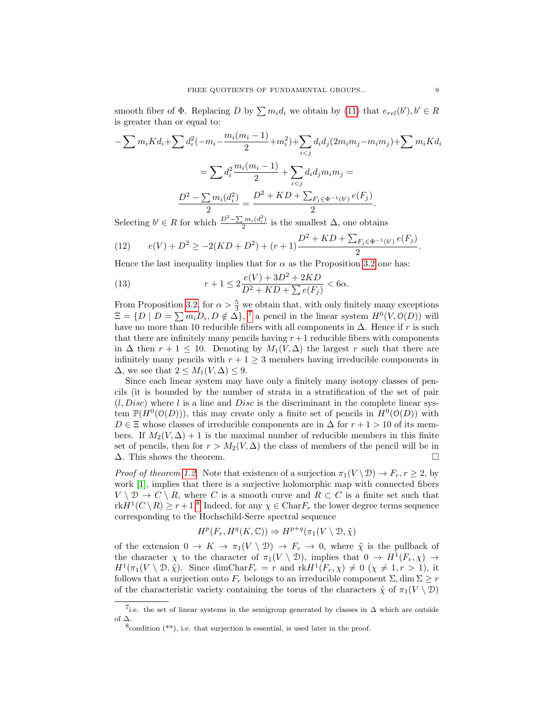smooth fiber of  $\Phi$ . Replacing D by  $\sum m_i d_i$  we obtain by [\(11\)](#page-7-0) that  $e_{rel}(b')$ ,  $b' \in R$ is greater than or equal to:

$$
-\sum m_i K d_i + \sum d_i^2 (-m_i - \frac{m_i(m_i - 1)}{2} + m_i^2) + \sum_{i < j} d_i d_j (2m_i m_j - m_i m_j) + \sum m_i K d_i
$$
\n
$$
= \sum d_i^2 \frac{m_i(m_i - 1)}{2} + \sum_{i < j} d_i d_j m_i m_j =
$$
\n
$$
\frac{D^2 - \sum m_i(d_i^2)}{2} = \frac{D^2 + KD + \sum_{F_j \in \Phi^{-1}(b')} e(F_j)}{2}.
$$

Selecting  $b' \in R$  for which  $\frac{D^2 - \sum m_i(d_i^2)}{2}$  $\frac{m_i(a_i)}{2}$  is the smallest  $\Delta$ , one obtains

(12) 
$$
e(V) + D^2 \ge -2(KD + D^2) + (r+1)\frac{D^2 + KD + \sum_{F_j \in \Phi^{-1}(b')} e(F_j)}{2}.
$$

Hence the last inequality implies that for  $\alpha$  as the Proposition [3.2](#page-5-5) one has:

<span id="page-8-0"></span>(13) 
$$
r + 1 \le 2\frac{e(V) + 3D^2 + 2KD}{D^2 + KD + \sum e(F_j)} < 6\alpha.
$$

From Proposition [3.2,](#page-5-5) for  $\alpha > \frac{5}{3}$  we obtain that, with only finitely many exceptions  $\Xi = \{D \mid D = \sum m_i D_i, D \notin \Delta\},\$ <sup>[7](#page-8-1)</sup> a pencil in the linear system  $H^0(V, \mathcal{O}(D))$  will have no more than 10 reducible fibers with all components in  $\Delta$ . Hence if r is such that there are infinitely many pencils having  $r+1$  reducible fibers with components in  $\Delta$  then  $r + 1 \leq 10$ . Denoting by  $M_1(V, \Delta)$  the largest r such that there are infinitely many pencils with  $r + 1 \geq 3$  members having irreducible components in  $\Delta$ , we see that  $2 \leq M_1(V,\Delta) \leq 9$ .

Since each linear system may have only a finitely many isotopy classes of pencils (it is bounded by the number of strata in a stratification of the set of pair  $(l, Disc)$  where l is a line and Disc is the discriminant in the complete linear system  $\mathbb{P}(H^0(\mathcal{O}(D)))$ , this may create only a finite set of pencils in  $H^0(\mathcal{O}(D))$  with  $D \in \Xi$  whose classes of irreducible components are in  $\Delta$  for  $r+1 > 10$  of its members. If  $M_2(V, \Delta) + 1$  is the maximal number of reducible members in this finite set of pencils, then for  $r > M_2(V, \Delta)$  the class of members of the pencil will be in  $\Delta$ . This shows the theorem.

*Proof of theorem [1.2.](#page-2-1)* Note that existence of a surjection  $\pi_1(V \setminus \mathcal{D}) \to F_r$ ,  $r \geq 2$ , by work [\[1\]](#page-19-1), implies that there is a surjective holomorphic map with connected fibers  $V \setminus \mathcal{D} \to C \setminus R$ , where C is a smooth curve and  $R \subset C$  is a finite set such that  $\text{rk} H^1(C \setminus R) \geq r+1$ <sup>[8](#page-8-2)</sup> Indeed, for any  $\chi \in \text{Char} F_r$  the lower degree terms sequence corresponding to the Hochschild-Serre spectral sequence

$$
H^p(F_r, H^q(K, \mathbb{C})) \Rightarrow H^{p+q}(\pi_1(V \setminus \mathcal{D}, \tilde{\chi}))
$$

of the extension  $0 \to K \to \pi_1(V \setminus \mathcal{D}) \to F_r \to 0$ , where  $\tilde{\chi}$  is the pullback of the character  $\chi$  to the character of  $\pi_1(V \setminus \mathcal{D})$ , implies that  $0 \to H^1(F_r, \chi) \to$  $H^1(\pi_1(V \setminus \mathcal{D}, \tilde{\chi})$ . Since dimChar $F_r = r$  and  $rkH^1(F_r, \chi) \neq 0 \ (\chi \neq 1, r > 1)$ , it follows that a surjection onto  $F_r$  belongs to an irreducible component  $\Sigma$ , dim  $\Sigma \geq r$ of the characteristic variety containing the torus of the characters  $\tilde{\chi}$  of  $\pi_1(V \setminus \mathcal{D})$ 

<span id="page-8-1"></span><sup>&</sup>lt;sup>7</sup>i.e. the set of linear systems in the semigroup generated by classes in  $\Delta$  which are outside of ∆.

<span id="page-8-2"></span> $8$ condition  $(**)$ , i.e. that surjection is essential, is used later in the proof.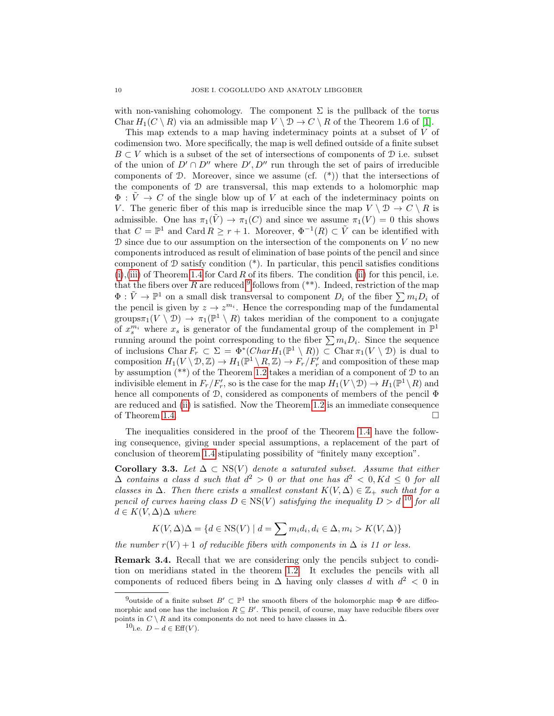with non-vanishing cohomology. The component  $\Sigma$  is the pullback of the torus Char  $H_1(C \setminus R)$  via an admissible map  $V \setminus \mathcal{D} \to C \setminus R$  of the Theorem 1.6 of [\[1\]](#page-19-1).

This map extends to a map having indeterminacy points at a subset of V of codimension two. More specifically, the map is well defined outside of a finite subset  $B \subset V$  which is a subset of the set of intersections of components of  $D$  i.e. subset of the union of  $D' \cap D''$  where  $D', D''$  run through the set of pairs of irreducible components of  $\mathcal{D}$ . Moreover, since we assume (cf.  $(*)$ ) that the intersections of the components of D are transversal, this map extends to a holomorphic map  $\Phi: V \to C$  of the single blow up of V at each of the indeterminacy points on V. The generic fiber of this map is irreducible since the map  $V \setminus \mathcal{D} \to C \setminus R$  is admissible. One has  $\pi_1(V) \to \pi_1(C)$  and since we assume  $\pi_1(V) = 0$  this shows that  $C = \mathbb{P}^1$  and Card  $R \geq r+1$ . Moreover,  $\Phi^{-1}(R) \subset \tilde{V}$  can be identified with  $\mathcal D$  since due to our assumption on the intersection of the components on  $V$  no new components introduced as result of elimination of base points of the pencil and since component of  $D$  satisfy condition  $(*)$ . In particular, this pencil satisfies conditions  $(i), (iii)$  $(i), (iii)$  $(i), (iii)$  of Theorem [1.4](#page-3-7) for Card R of its fibers. The condition [\(ii\)](#page-3-5) for this pencil, i.e. that the fibers over R are reduced  $9$  follows from  $(**)$ . Indeed, restriction of the map  $\Phi: \tilde{V} \to \mathbb{P}^1$  on a small disk transversal to component  $D_i$  of the fiber  $\sum m_i D_i$  of the pencil is given by  $z \to z^{m_i}$ . Hence the corresponding map of the fundamental groups $\pi_1(V \setminus \mathcal{D}) \to \pi_1(\mathbb{P}^1 \setminus R)$  takes meridian of the component to a conjugate of  $x_s^{m_i}$  where  $x_s$  is generator of the fundamental group of the complement in  $\mathbb{P}^1$ running around the point corresponding to the fiber  $\sum m_i D_i$ . Since the sequence of inclusions Char  $F_r \subset \Sigma = \Phi^*(CharH_1(\mathbb{P}^1 \setminus R)) \subset \text{Char}\,\pi_1(V \setminus \mathcal{D})$  is dual to composition  $H_1(V \setminus \mathcal{D}, \mathbb{Z}) \to H_1(\mathbb{P}^1 \setminus R, \mathbb{Z}) \to F_r/F'_r$  and composition of these map by assumption (\*\*) of the Theorem [1.2](#page-2-1) takes a meridian of a component of D to an indivisible element in  $F_r/F'_r$ , so is the case for the map  $H_1(V \setminus \mathcal{D}) \to H_1(\mathbb{P}^1 \setminus R)$  and hence all components of D, considered as components of members of the pencil  $\Phi$ are reduced and [\(ii\)](#page-3-5) is satisfied. Now the Theorem [1.2](#page-2-1) is an immediate consequence of Theorem [1.4.](#page-3-7)  $\Box$ 

The inequalities considered in the proof of the Theorem [1.4](#page-3-7) have the following consequence, giving under special assumptions, a replacement of the part of conclusion of theorem [1.4](#page-3-7) stipulating possibility of "finitely many exception".

<span id="page-9-0"></span>Corollary 3.3. Let  $\Delta \subset \text{NS}(V)$  denote a saturated subset. Assume that either  $\Delta$  contains a class d such that  $d^2 > 0$  or that one has  $d^2 < 0, Kd \leq 0$  for all classes in  $\Delta$ . Then there exists a smallest constant  $K(V, \Delta) \in \mathbb{Z}_+$  such that for a pencil of curves having class  $D \in \text{NS}(V)$  satisfying the inequality  $D > d$  <sup>[10](#page-9-2)</sup> for all  $d \in K(V, \Delta) \Delta$  where

$$
K(V, \Delta)\Delta = \{d \in \text{NS}(V) \mid d = \sum m_i d_i, d_i \in \Delta, m_i > K(V, \Delta)\}
$$

the number  $r(V) + 1$  of reducible fibers with components in  $\Delta$  is 11 or less.

Remark 3.4. Recall that we are considering only the pencils subject to condition on meridians stated in the theorem [1.2.](#page-2-1) It excludes the pencils with all components of reduced fibers being in  $\Delta$  having only classes d with  $d^2 < 0$  in

<span id="page-9-1"></span><sup>&</sup>lt;sup>9</sup>outside of a finite subset  $B' \subset \mathbb{P}^1$  the smooth fibers of the holomorphic map  $\Phi$  are diffeomorphic and one has the inclusion  $R \subseteq B'$ . This pencil, of course, may have reducible fibers over points in  $C \setminus R$  and its components do not need to have classes in  $\Delta$ .

<span id="page-9-2"></span><sup>10&</sup>lt;sub>i.e.</sub>  $D - d \in \text{Eff}(V)$ .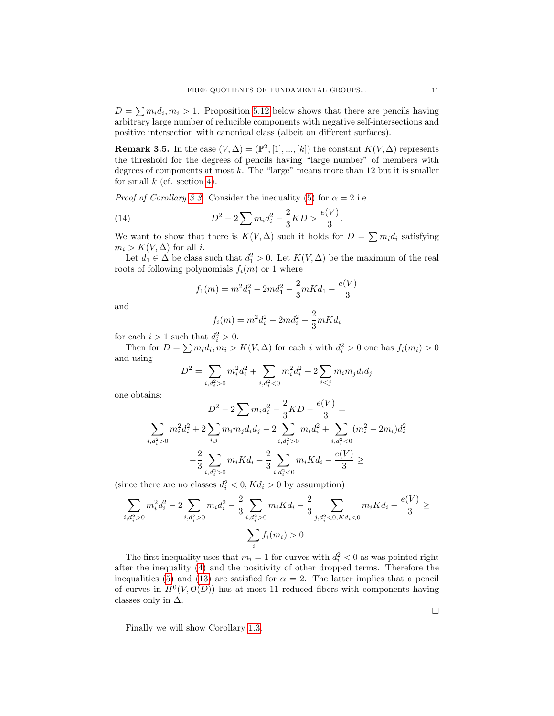$D = \sum m_i d_i, m_i > 1$ . Proposition [5.12](#page-19-8) below shows that there are pencils having arbitrary large number of reducible components with negative self-intersections and positive intersection with canonical class (albeit on different surfaces).

**Remark 3.5.** In the case  $(V, \Delta) = (\mathbb{P}^2, [1], ..., [k])$  the constant  $K(V, \Delta)$  represents the threshold for the degrees of pencils having "large number" of members with degrees of components at most  $k$ . The "large" means more than 12 but it is smaller for small  $k$  (cf. section [4\)](#page-11-0).

*Proof of Corollary [3.3.](#page-9-0)* Consider the inequality [\(5\)](#page-6-1) for  $\alpha = 2$  i.e.

(14) 
$$
D^2 - 2\sum m_i d_i^2 - \frac{2}{3} K D > \frac{e(V)}{3}.
$$

We want to show that there is  $K(V, \Delta)$  such it holds for  $D = \sum m_i d_i$  satisfying  $m_i > K(V, \Delta)$  for all *i*.

Let  $d_1 \in \Delta$  be class such that  $d_1^2 > 0$ . Let  $K(V, \Delta)$  be the maximum of the real roots of following polynomials  $f_i(m)$  or 1 where

$$
f_1(m) = m^2 d_1^2 - 2md_1^2 - \frac{2}{3}mKd_1 - \frac{e(V)}{3}
$$

and

$$
f_i(m) = m^2 d_i^2 - 2md_i^2 - \frac{2}{3}mKd_i
$$

for each  $i > 1$  such that  $d_i^2 > 0$ .

Then for  $D = \sum m_i d_i, m_i > K(V, \Delta)$  for each i with  $d_i^2 > 0$  one has  $f_i(m_i) > 0$ and using

$$
D^{2} = \sum_{i,d_{i}^{2} > 0} m_{i}^{2}d_{i}^{2} + \sum_{i,d_{i}^{2} < 0} m_{i}^{2}d_{i}^{2} + 2\sum_{i < j} m_{i}m_{j}d_{i}d_{j}
$$

one obtains:

$$
D^{2} - 2\sum m_{i}d_{i}^{2} - \frac{2}{3}KD - \frac{e(V)}{3} =
$$
\n
$$
\sum_{i,d_{i}^{2} > 0} m_{i}^{2}d_{i}^{2} + 2\sum_{i,j} m_{i}m_{j}d_{i}d_{j} - 2\sum_{i,d_{i}^{2} > 0} m_{i}d_{i}^{2} + \sum_{i,d_{i}^{2} < 0} (m_{i}^{2} - 2m_{i})d_{i}^{2}
$$
\n
$$
-\frac{2}{3}\sum_{i,d_{i}^{2} > 0} m_{i}Kd_{i} - \frac{2}{3}\sum_{i,d_{i}^{2} < 0} m_{i}Kd_{i} - \frac{e(V)}{3} \ge
$$

(since there are no classes  $d_i^2 < 0, K d_i > 0$  by assumption)

$$
\sum_{i,d_i^2>0} m_i^2 d_i^2 - 2 \sum_{i,d_i^2>0} m_i d_i^2 - \frac{2}{3} \sum_{i,d_i^2>0} m_i K d_i - \frac{2}{3} \sum_{j,d_i^2<0, K d_i<0} m_i K d_i - \frac{e(V)}{3} \ge \sum_i f_i(m_i) > 0.
$$

The first inequality uses that  $m_i = 1$  for curves with  $d_i^2 < 0$  as was pointed right after the inequality [\(4\)](#page-6-0) and the positivity of other dropped terms. Therefore the inequalities [\(5\)](#page-6-1) and [\(13\)](#page-8-0) are satisfied for  $\alpha = 2$ . The latter implies that a pencil of curves in  $H^0(V, \mathcal{O}(D))$  has at most 11 reduced fibers with components having classes only in  $\Delta$ .

Finally we will show Corollary [1.3.](#page-3-8)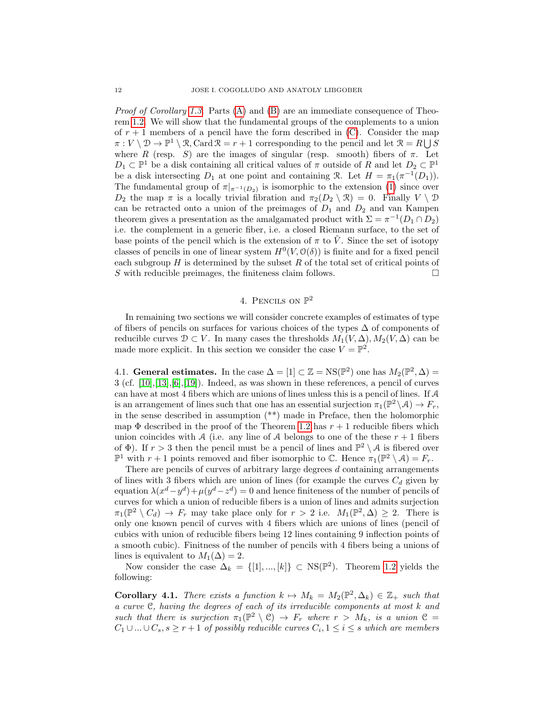*Proof of Corollary [1.3.](#page-3-8)* Parts  $(A)$  and  $(B)$  are an immediate consequence of Theorem [1.2.](#page-2-1) We will show that the fundamental groups of the complements to a union of  $r + 1$  members of a pencil have the form described in [\(C\)](#page-3-1). Consider the map  $\pi: V \setminus \mathcal{D} \to \mathbb{P}^1 \setminus \mathcal{R}$ , Card  $\mathcal{R} = r + 1$  corresponding to the pencil and let  $\mathcal{R} = R \cup S$ where R (resp. S) are the images of singular (resp. smooth) fibers of  $\pi$ . Let  $D_1 \subset \mathbb{P}^1$  be a disk containing all critical values of  $\pi$  outside of R and let  $D_2 \subset \mathbb{P}^1$ be a disk intersecting  $D_1$  at one point and containing R. Let  $H = \pi_1(\pi^{-1}(D_1)).$ The fundamental group of  $\pi|_{\pi^{-1}(D_2)}$  is isomorphic to the extension [\(1\)](#page-3-9) since over  $D_2$  the map  $\pi$  is a locally trivial fibration and  $\pi_2(D_2 \setminus \mathcal{R}) = 0$ . Finally  $V \setminus \mathcal{D}$ can be retracted onto a union of the preimages of  $D_1$  and  $D_2$  and van Kampen theorem gives a presentation as the amalgamated product with  $\Sigma = \pi^{-1}(D_1 \cap D_2)$ i.e. the complement in a generic fiber, i.e. a closed Riemann surface, to the set of base points of the pencil which is the extension of  $\pi$  to V. Since the set of isotopy classes of pencils in one of linear system  $H^0(V, \mathcal{O}(\delta))$  is finite and for a fixed pencil each subgroup  $H$  is determined by the subset  $R$  of the total set of critical points of S with reducible preimages, the finiteness claim follows.  $\square$ 

# 4. PENCILS ON  $\mathbb{P}^2$

<span id="page-11-0"></span>In remaining two sections we will consider concrete examples of estimates of type of fibers of pencils on surfaces for various choices of the types  $\Delta$  of components of reducible curves  $\mathcal{D} \subset V$ . In many cases the thresholds  $M_1(V, \Delta), M_2(V, \Delta)$  can be made more explicit. In this section we consider the case  $V = \mathbb{P}^2$ .

4.1. General estimates. In the case  $\Delta = [1] \subset \mathbb{Z} = \text{NS}(\mathbb{P}^2)$  one has  $M_2(\mathbb{P}^2, \Delta) =$ 3 (cf. [\[10\]](#page-20-1),[\[13\]](#page-20-2),[\[6\]](#page-19-3),[\[19\]](#page-20-6)). Indeed, as was shown in these references, a pencil of curves can have at most 4 fibers which are unions of lines unless this is a pencil of lines. If  $A$ is an arrangement of lines such that one has an essential surjection  $\pi_1(\mathbb{P}^2 \setminus \mathcal{A}) \to F_r$ , in the sense described in assumption (\*\*) made in Preface, then the holomorphic map  $\Phi$  described in the proof of the Theorem [1.2](#page-2-1) has  $r + 1$  reducible fibers which union coincides with A (i.e. any line of A belongs to one of the these  $r + 1$  fibers of  $\Phi$ ). If  $r > 3$  then the pencil must be a pencil of lines and  $\mathbb{P}^2 \setminus A$  is fibered over  $\mathbb{P}^1$  with  $r+1$  points removed and fiber isomorphic to  $\mathbb{C}$ . Hence  $\pi_1(\mathbb{P}^2 \setminus \mathcal{A}) = F_r$ .

There are pencils of curves of arbitrary large degrees  $d$  containing arrangements of lines with 3 fibers which are union of lines (for example the curves  $C_d$  given by equation  $\lambda(x^d - y^d) + \mu(y^d - z^d) = 0$  and hence finiteness of the number of pencils of curves for which a union of reducible fibers is a union of lines and admits surjection  $\pi_1(\mathbb{P}^2 \setminus C_d) \to F_r$  may take place only for  $r > 2$  i.e.  $M_1(\mathbb{P}^2, \Delta) \geq 2$ . There is only one known pencil of curves with 4 fibers which are unions of lines (pencil of cubics with union of reducible fibers being 12 lines containing 9 inflection points of a smooth cubic). Finitness of the number of pencils with 4 fibers being a unions of lines is equivalent to  $M_1(\Delta) = 2$ .

Now consider the case  $\Delta_k = \{ [1], ..., [k] \} \subset \text{NS}(\mathbb{P}^2)$ . Theorem [1.2](#page-2-1) yields the following:

**Corollary 4.1.** There exists a function  $k \mapsto M_k = M_2(\mathbb{P}^2, \Delta_k) \in \mathbb{Z}_+$  such that a curve C, having the degrees of each of its irreducible components at most k and such that there is surjection  $\pi_1(\mathbb{P}^2 \setminus \mathcal{C}) \to F_r$  where  $r > M_k$ , is a union  $\mathcal{C} =$  $C_1 \cup ... \cup C_s$ ,  $s \geq r+1$  of possibly reducible curves  $C_i$ ,  $1 \leq i \leq s$  which are members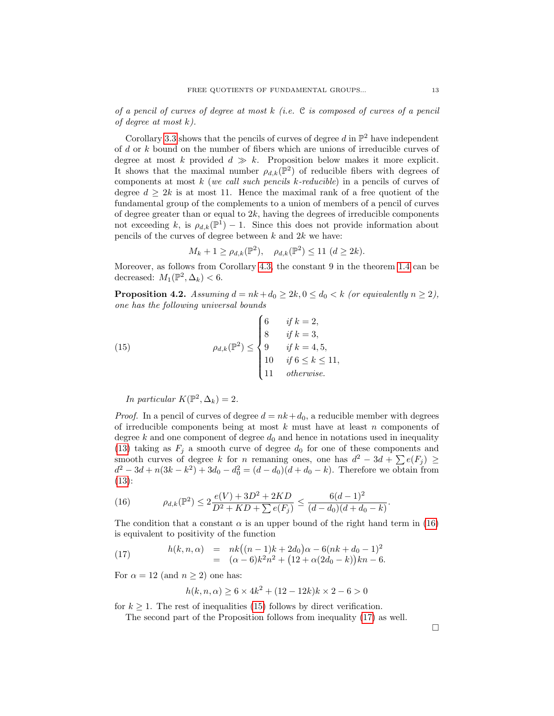of a pencil of curves of degree at most  $k$  (i.e. C is composed of curves of a pencil of degree at most k).

Corollary [3.3](#page-9-0) shows that the pencils of curves of degree  $d$  in  $\mathbb{P}^2$  have independent of d or k bound on the number of fibers which are unions of irreducible curves of degree at most k provided  $d \gg k$ . Proposition below makes it more explicit. It shows that the maximal number  $\rho_{d,k}(\mathbb{P}^2)$  of reducible fibers with degrees of components at most k (we call such pencils k-reducible) in a pencils of curves of degree  $d \geq 2k$  is at most 11. Hence the maximal rank of a free quotient of the fundamental group of the complements to a union of members of a pencil of curves of degree greater than or equal to  $2k$ , having the degrees of irreducible components not exceeding k, is  $\rho_{d,k}(\mathbb{P}^1) - 1$ . Since this does not provide information about pencils of the curves of degree between  $k$  and  $2k$  we have:

<span id="page-12-1"></span>
$$
M_k + 1 \ge \rho_{d,k}(\mathbb{P}^2), \quad \rho_{d,k}(\mathbb{P}^2) \le 11 \ (d \ge 2k).
$$

Moreover, as follows from Corollary [4.3,](#page-13-0) the constant 9 in the theorem [1.4](#page-3-7) can be decreased:  $M_1(\mathbb{P}^2, \Delta_k) < 6$ .

**Proposition 4.2.** Assuming  $d = nk + d_0 \geq 2k, 0 \leq d_0 < k$  (or equivalently  $n \geq 2$ ), one has the following universal bounds

(15) 
$$
\rho_{d,k}(\mathbb{P}^2) \leq \begin{cases} 6 & \text{if } k = 2, \\ 8 & \text{if } k = 3, \\ 9 & \text{if } k = 4, 5, \\ 10 & \text{if } 6 \leq k \leq 11, \\ 11 & \text{otherwise.} \end{cases}
$$

In particular  $K(\mathbb{P}^2, \Delta_k) = 2$ .

*Proof.* In a pencil of curves of degree  $d = nk + d_0$ , a reducible member with degrees of irreducible components being at most  $k$  must have at least  $n$  components of degree  $k$  and one component of degree  $d_0$  and hence in notations used in inequality [\(13\)](#page-8-0) taking as  $F_j$  a smooth curve of degree  $d_0$  for one of these components and smooth curves of degree k for n remaning ones, one has  $d^2 - 3d + \sum e(F_i) \ge$  $d^2 - 3d + n(3k - k^2) + 3d_0 - d_0^2 = (d - d_0)(d + d_0 - k)$ . Therefore we obtain from [\(13\)](#page-8-0):

<span id="page-12-0"></span>(16) 
$$
\rho_{d,k}(\mathbb{P}^2) \le 2\frac{e(V) + 3D^2 + 2KD}{D^2 + KD + \sum e(F_j)} \le \frac{6(d-1)^2}{(d-d_0)(d+d_0-k)}
$$

The condition that a constant  $\alpha$  is an upper bound of the right hand term in [\(16\)](#page-12-0) is equivalent to positivity of the function

(17) 
$$
h(k, n, \alpha) = nk((n - 1)k + 2d_0)\alpha - 6(nk + d_0 - 1)^2
$$

$$
= (\alpha - 6)k^2n^2 + (12 + \alpha(2d_0 - k))kn - 6.
$$

For  $\alpha = 12$  (and  $n \ge 2$ ) one has:

<span id="page-12-2"></span>
$$
h(k, n, \alpha) \ge 6 \times 4k^2 + (12 - 12k)k \times 2 - 6 > 0
$$

for  $k \geq 1$ . The rest of inequalities [\(15\)](#page-12-1) follows by direct verification.

The second part of the Proposition follows from inequality [\(17\)](#page-12-2) as well.

 $\Box$ 

.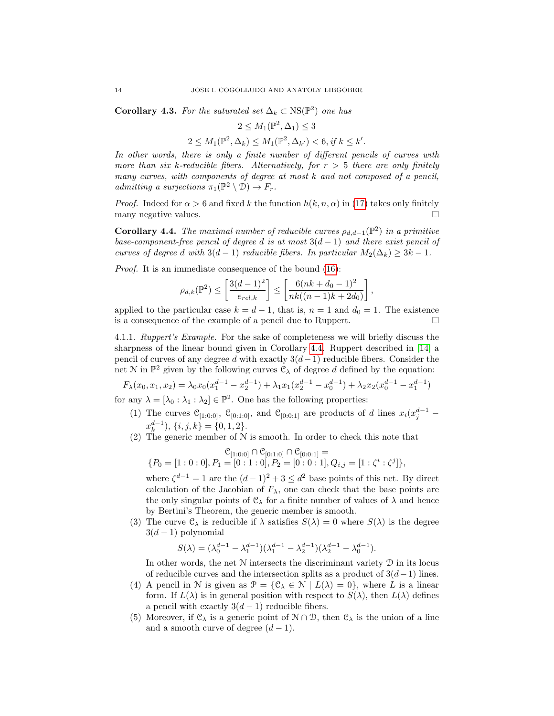<span id="page-13-0"></span>**Corollary 4.3.** For the saturated set  $\Delta_k \subset \text{NS}(\mathbb{P}^2)$  one has

$$
2\leq M_1(\mathbb{P}^2,\Delta_1)\leq 3
$$

$$
2 \le M_1(\mathbb{P}^2, \Delta_k) \le M_1(\mathbb{P}^2, \Delta_{k'}) < 6, \text{if } k \le k'.
$$

In other words, there is only a finite number of different pencils of curves with more than six k-reducible fibers. Alternatively, for  $r > 5$  there are only finitely many curves, with components of degree at most  $k$  and not composed of a pencil, admitting a surjections  $\pi_1(\mathbb{P}^2 \setminus \mathcal{D}) \to F_r$ .

*Proof.* Indeed for  $\alpha > 6$  and fixed k the function  $h(k, n, \alpha)$  in [\(17\)](#page-12-2) takes only finitely many negative values.  $\Box$ 

<span id="page-13-1"></span>**Corollary 4.4.** The maximal number of reducible curves  $\rho_{d,d-1}(\mathbb{P}^2)$  in a primitive base-component-free pencil of degree d is at most  $3(d-1)$  and there exist pencil of curves of degree d with  $3(d-1)$  reducible fibers. In particular  $M_2(\Delta_k) \geq 3k-1$ .

Proof. It is an immediate consequence of the bound [\(16\)](#page-12-0):

$$
\rho_{d,k}(\mathbb{P}^2) \le \left[\frac{3(d-1)^2}{e_{rel,k}}\right] \le \left[\frac{6(nk+d_0-1)^2}{nk((n-1)k+2d_0)}\right],
$$

applied to the particular case  $k = d - 1$ , that is,  $n = 1$  and  $d_0 = 1$ . The existence is a consequence of the example of a pencil due to Ruppert.

4.1.1. Ruppert's Example. For the sake of completeness we will briefly discuss the sharpness of the linear bound given in Corollary [4.4.](#page-13-1) Ruppert described in [\[14\]](#page-20-7) a pencil of curves of any degree d with exactly  $3(d-1)$  reducible fibers. Consider the net N in  $\mathbb{P}^2$  given by the following curves  $\mathcal{C}_{\lambda}$  of degree d defined by the equation:

$$
F_{\lambda}(x_0, x_1, x_2) = \lambda_0 x_0 (x_1^{d-1} - x_2^{d-1}) + \lambda_1 x_1 (x_2^{d-1} - x_0^{d-1}) + \lambda_2 x_2 (x_0^{d-1} - x_1^{d-1})
$$

for any  $\lambda = [\lambda_0 : \lambda_1 : \lambda_2] \in \mathbb{P}^2$ . One has the following properties:

- (1) The curves  $\mathcal{C}_{[1:0:0]}$ ,  $\mathcal{C}_{[0:1:0]}$ , and  $\mathcal{C}_{[0:0:1]}$  are products of d lines  $x_i(x_j^{d-1}$  $x_k^{d-1}$ ,  $\{i, j, k\} = \{0, 1, 2\}.$
- (2) The generic member of  $N$  is smooth. In order to check this note that

$$
\mathcal{C}_{[1:0:0]} \cap \mathcal{C}_{[0:1:0]} \cap \mathcal{C}_{[0:0:1]} =
$$
  
{P<sub>0</sub> = [1:0:0], P<sub>1</sub> = [0:1:0], P<sub>2</sub> = [0:0:1], Q<sub>i,j</sub> = [1:  $\zeta^i : \zeta^j$ ]}

where  $\zeta^{d-1} = 1$  are the  $(d-1)^2 + 3 \leq d^2$  base points of this net. By direct calculation of the Jacobian of  $F_{\lambda}$ , one can check that the base points are the only singular points of  $\mathcal{C}_{\lambda}$  for a finite number of values of  $\lambda$  and hence by Bertini's Theorem, the generic member is smooth.

(3) The curve  $\mathcal{C}_{\lambda}$  is reducible if  $\lambda$  satisfies  $S(\lambda) = 0$  where  $S(\lambda)$  is the degree  $3(d-1)$  polynomial

$$
S(\lambda) = (\lambda_0^{d-1} - \lambda_1^{d-1})(\lambda_1^{d-1} - \lambda_2^{d-1})(\lambda_2^{d-1} - \lambda_0^{d-1}).
$$

In other words, the net  $N$  intersects the discriminant variety  $D$  in its locus of reducible curves and the intersection splits as a product of  $3(d-1)$  lines.

- (4) A pencil in N is given as  $\mathcal{P} = \{ \mathcal{C}_{\lambda} \in \mathcal{N} \mid L(\lambda) = 0 \}$ , where L is a linear form. If  $L(\lambda)$  is in general position with respect to  $S(\lambda)$ , then  $L(\lambda)$  defines a pencil with exactly  $3(d-1)$  reducible fibers.
- (5) Moreover, if  $\mathcal{C}_{\lambda}$  is a generic point of  $\mathcal{N} \cap \mathcal{D}$ , then  $\mathcal{C}_{\lambda}$  is the union of a line and a smooth curve of degree  $(d-1)$ .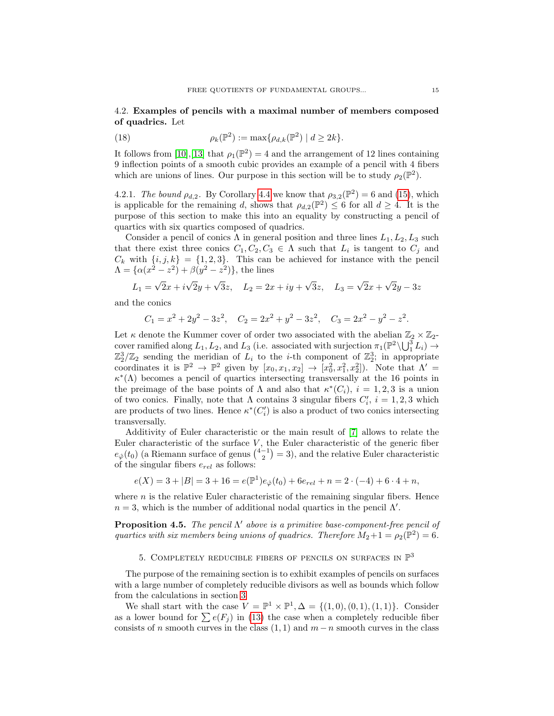## 4.2. Examples of pencils with a maximal number of members composed of quadrics. Let

(18) 
$$
\rho_k(\mathbb{P}^2) := \max \{ \rho_{d,k}(\mathbb{P}^2) \mid d \ge 2k \}.
$$

It follows from [\[10\]](#page-20-1), [\[13\]](#page-20-2) that  $\rho_1(\mathbb{P}^2) = 4$  and the arrangement of 12 lines containing 9 inflection points of a smooth cubic provides an example of a pencil with 4 fibers which are unions of lines. Our purpose in this section will be to study  $\rho_2(\mathbb{P}^2)$ .

4.2.1. The bound  $\rho_{d,2}$ . By Corollary [4.4](#page-13-1) we know that  $\rho_{3,2}(\mathbb{P}^2) = 6$  and [\(15\)](#page-12-1), which is applicable for the remaining d, shows that  $\rho_{d,2}(\mathbb{P}^2) \leq 6$  for all  $d \geq 4$ . It is the purpose of this section to make this into an equality by constructing a pencil of quartics with six quartics composed of quadrics.

Consider a pencil of conics  $\Lambda$  in general position and three lines  $L_1, L_2, L_3$  such that there exist three conics  $C_1, C_2, C_3 \in \Lambda$  such that  $L_i$  is tangent to  $C_j$  and  $C_k$  with  $\{i, j, k\} = \{1, 2, 3\}$ . This can be achieved for instance with the pencil  $\Lambda = {\alpha(x^2 - z^2) + \beta(y^2 - z^2)}$ , the lines

$$
L_1 = \sqrt{2}x + i\sqrt{2}y + \sqrt{3}z, \quad L_2 = 2x + iy + \sqrt{3}z, \quad L_3 = \sqrt{2}x + \sqrt{2}y - 3z
$$

and the conics

$$
C_1 = x^2 + 2y^2 - 3z^2
$$
,  $C_2 = 2x^2 + y^2 - 3z^2$ ,  $C_3 = 2x^2 - y^2 - z^2$ .

Let  $\kappa$  denote the Kummer cover of order two associated with the abelian  $\mathbb{Z}_2 \times \mathbb{Z}_2$ cover ramified along  $L_1, L_2$ , and  $L_3$  (i.e. associated with surjection  $\pi_1(\mathbb{P}^2 \setminus \bigcup_{1}^3 L_i) \to$  $\mathbb{Z}_2^3/\mathbb{Z}_2$  sending the meridian of  $L_i$  to the *i*-th component of  $\mathbb{Z}_2^3$ ; in appropriate coordinates it is  $\mathbb{P}^2 \to \mathbb{P}^2$  given by  $[x_0, x_1, x_2] \to [x_0^2, x_1^2, x_2^2]$ . Note that  $\Lambda' =$  $\kappa^*(\Lambda)$  becomes a pencil of quartics intersecting transversally at the 16 points in the preimage of the base points of  $\Lambda$  and also that  $\kappa^*(C_i)$ ,  $i = 1, 2, 3$  is a union of two conics. Finally, note that  $\Lambda$  contains 3 singular fibers  $C_i$ ,  $i = 1, 2, 3$  which are products of two lines. Hence  $\kappa^*(C_i')$  is also a product of two conics intersecting transversally.

Additivity of Euler characteristic or the main result of [\[7\]](#page-19-7) allows to relate the Euler characteristic of the surface  $V$ , the Euler characteristic of the generic fiber  $e_{\hat{\varphi}}(t_0)$  (a Riemann surface of genus  $\binom{4-1}{2} = 3$ ), and the relative Euler characteristic of the singular fibers  $e_{rel}$  as follows:

$$
e(X) = 3 + |B| = 3 + 16 = e(\mathbb{P}^1)e_{\hat{\varphi}}(t_0) + 6e_{rel} + n = 2 \cdot (-4) + 6 \cdot 4 + n,
$$

where  $n$  is the relative Euler characteristic of the remaining singular fibers. Hence  $n = 3$ , which is the number of additional nodal quartics in the pencil  $\Lambda'$ .

**Proposition 4.5.** The pencil  $\Lambda'$  above is a primitive base-component-free pencil of quartics with six members being unions of quadrics. Therefore  $M_2 + 1 = \rho_2(\mathbb{P}^2) = 6$ .

# 5. COMPLETELY REDUCIBLE FIBERS OF PENCILS ON SURFACES IN  $\mathbb{P}^3$

<span id="page-14-0"></span>The purpose of the remaining section is to exhibit examples of pencils on surfaces with a large number of completely reducible divisors as well as bounds which follow from the calculations in section [3](#page-5-0)

We shall start with the case  $V = \mathbb{P}^1 \times \mathbb{P}^1$ ,  $\Delta = \{(1,0), (0,1), (1,1)\}$ . Consider as a lower bound for  $\sum e(F_j)$  in [\(13\)](#page-8-0) the case when a completely reducible fiber consists of n smooth curves in the class  $(1, 1)$  and  $m - n$  smooth curves in the class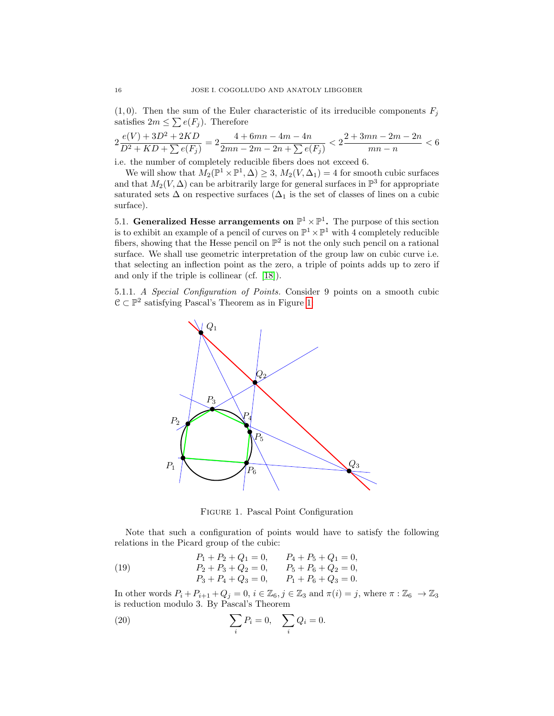$(1, 0)$ . Then the sum of the Euler characteristic of its irreducible components  $F_j$ satisfies  $2m \leq \sum e(F_j)$ . Therefore

$$
2\frac{e(V) + 3D^2 + 2KD}{D^2 + KD + \sum e(F_j)} = 2\frac{4 + 6mn - 4m - 4n}{2mn - 2m - 2n + \sum e(F_j)} < 2\frac{2 + 3mn - 2m - 2n}{mn - n} < 6
$$

i.e. the number of completely reducible fibers does not exceed 6.

We will show that  $M_2(\mathbb{P}^1 \times \mathbb{P}^1, \Delta) \geq 3$ ,  $M_2(V, \Delta_1) = 4$  for smooth cubic surfaces and that  $M_2(V, \Delta)$  can be arbitrarily large for general surfaces in  $\mathbb{P}^3$  for appropriate saturated sets  $\Delta$  on respective surfaces ( $\Delta_1$  is the set of classes of lines on a cubic surface).

5.1. Generalized Hesse arrangements on  $\mathbb{P}^1 \times \mathbb{P}^1$ . The purpose of this section is to exhibit an example of a pencil of curves on  $\mathbb{P}^1 \times \mathbb{P}^1$  with 4 completely reducible fibers, showing that the Hesse pencil on  $\mathbb{P}^2$  is not the only such pencil on a rational surface. We shall use geometric interpretation of the group law on cubic curve i.e. that selecting an inflection point as the zero, a triple of points adds up to zero if and only if the triple is collinear (cf. [\[18\]](#page-20-8)).

5.1.1. A Special Configuration of Points. Consider 9 points on a smooth cubic  $\mathcal{C} \subset \mathbb{P}^2$  satisfying Pascal's Theorem as in Figure [1:](#page-15-0)



<span id="page-15-2"></span><span id="page-15-1"></span><span id="page-15-0"></span>Figure 1. Pascal Point Configuration

Note that such a configuration of points would have to satisfy the following relations in the Picard group of the cubic:

(19) 
$$
P_1 + P_2 + Q_1 = 0, \t P_4 + P_5 + Q_1 = 0,
$$

$$
P_2 + P_3 + Q_2 = 0, \t P_5 + P_6 + Q_2 = 0,
$$

$$
P_3 + P_4 + Q_3 = 0, \t P_1 + P_6 + Q_3 = 0.
$$

In other words  $P_i + P_{i+1} + Q_j = 0$ ,  $i \in \mathbb{Z}_6$ ,  $j \in \mathbb{Z}_3$  and  $\pi(i) = j$ , where  $\pi : \mathbb{Z}_6 \to \mathbb{Z}_3$ is reduction modulo 3. By Pascal's Theorem

(20) 
$$
\sum_{i} P_{i} = 0, \quad \sum_{i} Q_{i} = 0.
$$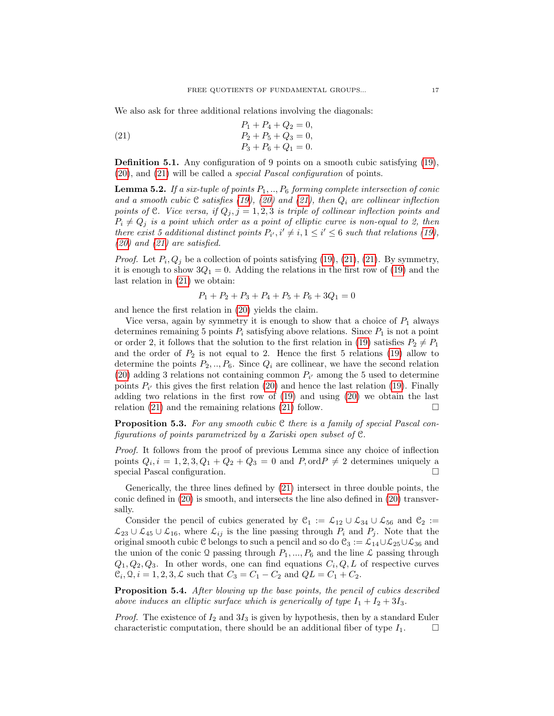We also ask for three additional relations involving the diagonals:

<span id="page-16-0"></span>(21) 
$$
P_1 + P_4 + Q_2 = 0,
$$

$$
P_2 + P_5 + Q_3 = 0,
$$

$$
P_3 + P_6 + Q_1 = 0.
$$

Definition 5.1. Any configuration of 9 points on a smooth cubic satisfying [\(19\)](#page-15-1), [\(20\)](#page-15-2), and [\(21\)](#page-16-0) will be called a special Pascal configuration of points.

**Lemma 5.2.** If a six-tuple of points  $P_1, ..., P_6$  forming complete intersection of conic and a smooth cubic C satisfies [\(19\)](#page-15-1), [\(20\)](#page-15-2) and [\(21\)](#page-16-0), then  $Q_i$  are collinear inflection points of C. Vice versa, if  $Q_i$ ,  $j = 1, 2, 3$  is triple of collinear inflection points and  $P_i \neq Q_j$  is a point which order as a point of elliptic curve is non-equal to 2, then there exist 5 additional distinct points  $P_{i'}$ ,  $i' \neq i, 1 \leq i' \leq 6$  such that relations [\(19\)](#page-15-1),  $(20)$  and  $(21)$  are satisfied.

*Proof.* Let  $P_i, Q_j$  be a collection of points satisfying [\(19\)](#page-15-1), [\(21\)](#page-16-0), (21). By symmetry, it is enough to show  $3Q_1 = 0$ . Adding the relations in the first row of [\(19\)](#page-15-1) and the last relation in [\(21\)](#page-16-0) we obtain:

$$
P_1 + P_2 + P_3 + P_4 + P_5 + P_6 + 3Q_1 = 0
$$

and hence the first relation in [\(20\)](#page-15-2) yields the claim.

Vice versa, again by symmetry it is enough to show that a choice of  $P_1$  always determines remaining 5 points  $P_i$  satisfying above relations. Since  $P_1$  is not a point or order 2, it follows that the solution to the first relation in [\(19\)](#page-15-1) satisfies  $P_2 \neq P_1$ and the order of  $P_2$  is not equal to 2. Hence the first 5 relations [\(19\)](#page-15-1) allow to determine the points  $P_2, ..., P_6$ . Since  $Q_i$  are collinear, we have the second relation [\(20\)](#page-15-2) adding 3 relations not containing common  $P_{i'}$  among the 5 used to determine points  $P_{i'}$  this gives the first relation [\(20\)](#page-15-2) and hence the last relation [\(19\)](#page-15-1). Finally adding two relations in the first row of [\(19\)](#page-15-1) and using [\(20\)](#page-15-2) we obtain the last relation [\(21\)](#page-16-0) and the remaining relations (21) follow.  $\Box$ 

<span id="page-16-1"></span>**Proposition 5.3.** For any smooth cubic  $C$  there is a family of special Pascal configurations of points parametrized by a Zariski open subset of C.

Proof. It follows from the proof of previous Lemma since any choice of inflection points  $Q_i$ ,  $i = 1, 2, 3, Q_1 + Q_2 + Q_3 = 0$  and  $P$ , ord $P \neq 2$  determines uniquely a special Pascal configuration.

Generically, the three lines defined by [\(21\)](#page-16-0) intersect in three double points, the conic defined in [\(20\)](#page-15-2) is smooth, and intersects the line also defined in [\(20\)](#page-15-2) transversally.

Consider the pencil of cubics generated by  $\mathcal{C}_1 := \mathcal{L}_{12} \cup \mathcal{L}_{34} \cup \mathcal{L}_{56}$  and  $\mathcal{C}_2 :=$  $\mathcal{L}_{23} \cup \mathcal{L}_{45} \cup \mathcal{L}_{16}$ , where  $\mathcal{L}_{ij}$  is the line passing through  $P_i$  and  $P_j$ . Note that the original smooth cubic  $C$  belongs to such a pencil and so do  $C_3 := \mathcal{L}_{14} \cup \mathcal{L}_{25} \cup \mathcal{L}_{36}$  and the union of the conic  $\mathcal Q$  passing through  $P_1, ..., P_6$  and the line  $\mathcal L$  passing through  $Q_1, Q_2, Q_3$ . In other words, one can find equations  $C_i, Q, L$  of respective curves  $C_i$ ,  $Q$ ,  $i = 1, 2, 3, \mathcal{L}$  such that  $C_3 = C_1 - C_2$  and  $QL = C_1 + C_2$ .

<span id="page-16-2"></span>Proposition 5.4. After blowing up the base points, the pencil of cubics described above induces an elliptic surface which is generically of type  $I_1 + I_2 + 3I_3$ .

*Proof.* The existence of  $I_2$  and  $3I_3$  is given by hypothesis, then by a standard Euler characteristic computation, there should be an additional fiber of type  $I_1$ .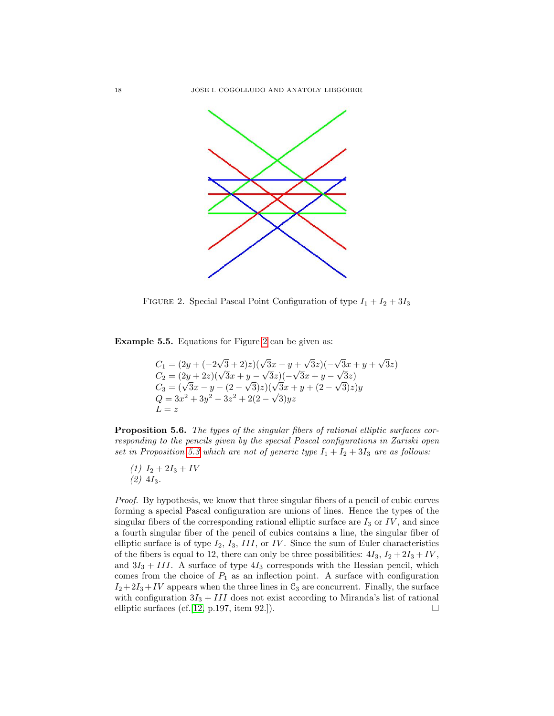

<span id="page-17-0"></span>FIGURE 2. Special Pascal Point Configuration of type  $I_1 + I_2 + 3I_3$ 

Example 5.5. Equations for Figure [2](#page-17-0) can be given as:

$$
C_1 = (2y + (-2\sqrt{3} + 2)z)(\sqrt{3}x + y + \sqrt{3}z)(-\sqrt{3}x + y + \sqrt{3}z)
$$
  
\n
$$
C_2 = (2y + 2z)(\sqrt{3}x + y - \sqrt{3}z)(-\sqrt{3}x + y - \sqrt{3}z)
$$
  
\n
$$
C_3 = (\sqrt{3}x - y - (2 - \sqrt{3})z)(\sqrt{3}x + y + (2 - \sqrt{3})z)y
$$
  
\n
$$
Q = 3x^2 + 3y^2 - 3z^2 + 2(2 - \sqrt{3})yz
$$
  
\n
$$
L = z
$$

Proposition 5.6. The types of the singular fibers of rational elliptic surfaces corresponding to the pencils given by the special Pascal configurations in Zariski open set in Proposition [5.3](#page-16-1) which are not of generic type  $I_1 + I_2 + 3I_3$  are as follows:

(1)  $I_2 + 2I_3 + IV$  $(2)$  4I<sub>3</sub>.

Proof. By hypothesis, we know that three singular fibers of a pencil of cubic curves forming a special Pascal configuration are unions of lines. Hence the types of the singular fibers of the corresponding rational elliptic surface are  $I_3$  or  $IV$ , and since a fourth singular fiber of the pencil of cubics contains a line, the singular fiber of elliptic surface is of type  $I_2$ ,  $I_3$ ,  $III$ , or IV. Since the sum of Euler characteristics of the fibers is equal to 12, there can only be three possibilities:  $4I_3$ ,  $I_2 + 2I_3 + IV$ , and  $3I_3 + III$ . A surface of type  $4I_3$  corresponds with the Hessian pencil, which comes from the choice of  $P_1$  as an inflection point. A surface with configuration  $I_2+2I_3+IV$  appears when the three lines in  $\mathcal{C}_3$  are concurrent. Finally, the surface with configuration  $3I_3 + III$  does not exist according to Miranda's list of rational elliptic surfaces (cf. [\[12,](#page-20-9) p.197, item 92.]).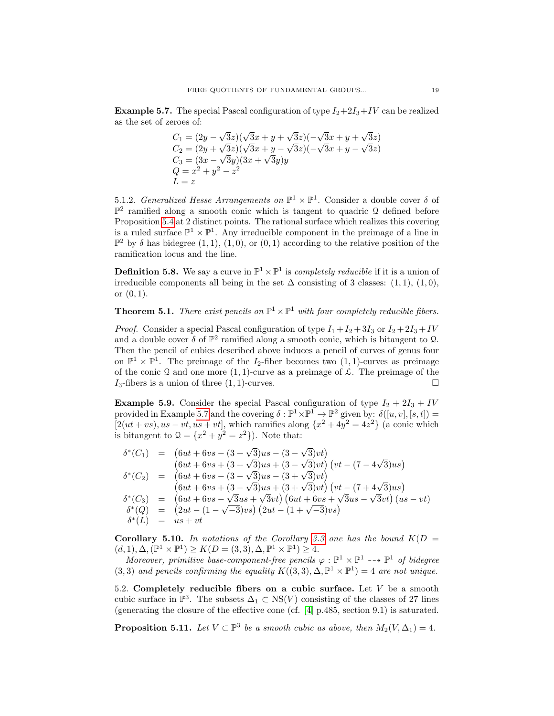<span id="page-18-0"></span>**Example 5.7.** The special Pascal configuration of type  $I_2+2I_3+IV$  can be realized as the set of zeroes of:

$$
C_1 = (2y - \sqrt{3}z)(\sqrt{3}x + y + \sqrt{3}z)(-\sqrt{3}x + y + \sqrt{3}z)
$$
  
\n
$$
C_2 = (2y + \sqrt{3}z)(\sqrt{3}x + y - \sqrt{3}z)(-\sqrt{3}x + y - \sqrt{3}z)
$$
  
\n
$$
C_3 = (3x - \sqrt{3}y)(3x + \sqrt{3}y)y
$$
  
\n
$$
Q = x^2 + y^2 - z^2
$$
  
\n
$$
L = z
$$

5.1.2. Generalized Hesse Arrangements on  $\mathbb{P}^1 \times \mathbb{P}^1$ . Consider a double cover  $\delta$  of  $\mathbb{P}^2$  ramified along a smooth conic which is tangent to quadric Q defined before Proposition [5.4](#page-16-2) at 2 distinct points. The rational surface which realizes this covering is a ruled surface  $\mathbb{P}^1 \times \mathbb{P}^1$ . Any irreducible component in the preimage of a line in  $\mathbb{P}^2$  by  $\delta$  has bidegree  $(1,1), (1,0),$  or  $(0,1)$  according to the relative position of the ramification locus and the line.

**Definition 5.8.** We say a curve in  $\mathbb{P}^1 \times \mathbb{P}^1$  is *completely reducible* if it is a union of irreducible components all being in the set  $\Delta$  consisting of 3 classes: (1, 1), (1,0), or  $(0, 1)$ .

**Theorem 5.1.** There exist pencils on  $\mathbb{P}^1 \times \mathbb{P}^1$  with four completely reducible fibers.

*Proof.* Consider a special Pascal configuration of type  $I_1 + I_2 + 3I_3$  or  $I_2 + 2I_3 + IV$ and a double cover  $\delta$  of  $\mathbb{P}^2$  ramified along a smooth conic, which is bitangent to 2. Then the pencil of cubics described above induces a pencil of curves of genus four on  $\mathbb{P}^1 \times \mathbb{P}^1$ . The preimage of the  $I_2$ -fiber becomes two  $(1,1)$ -curves as preimage of the conic Q and one more  $(1, 1)$ -curve as a preimage of  $\mathcal{L}$ . The preimage of the  $I_3$ -fibers is a union of three  $(1, 1)$ -curves.

**Example 5.9.** Consider the special Pascal configuration of type  $I_2 + 2I_3 + IV$ provided in Example [5.7](#page-18-0) and the covering  $\delta : \mathbb{P}^1 \times \mathbb{P}^1 \to \mathbb{P}^2$  given by:  $\delta([u, v], [s, t]) =$  $[2(ut+vs), us-vt, us+vt]$ , which ramifies along  $\{x^2+4y^2=4z^2\}$  (a conic which is bitangent to  $Q = \{x^2 + y^2 = z^2\}$ . Note that:

$$
\delta^*(C_1) = (6ut + 6vs - (3 + \sqrt{3})us - (3 - \sqrt{3})vt) \n(6ut + 6vs + (3 + \sqrt{3})us + (3 - \sqrt{3})vt) (vt - (7 - 4\sqrt{3})us) \n\delta^*(C_2) = (6ut + 6vs - (3 - \sqrt{3})us - (3 + \sqrt{3})vt) \n(6ut + 6vs + (3 - \sqrt{3})us + (3 + \sqrt{3})vt) (vt - (7 + 4\sqrt{3})us) \n\delta^*(C_3) = (6ut + 6vs - \sqrt{3}us + \sqrt{3}vt) (6ut + 6vs + \sqrt{3}us - \sqrt{3}vt) (us - vt) \n\delta^*(Q) = (2ut - (1 - \sqrt{-3})vs) (2ut - (1 + \sqrt{-3})vs) \n\delta^*(L) = us + vt
$$

**Corollary 5.10.** In notations of the Corollary [3.3](#page-9-0) one has the bound  $K(D =$  $(d, 1), \Delta, (\mathbb{P}^1 \times \mathbb{P}^1) \geq K(D = (3, 3), \Delta, \mathbb{P}^1 \times \mathbb{P}^1) \geq 4.$ 

Moreover, primitive base-component-free pencils  $\varphi : \mathbb{P}^1 \times \mathbb{P}^1 \dashrightarrow \mathbb{P}^1$  of bidegree (3,3) and pencils confirming the equality  $K((3,3), \Delta, \mathbb{P}^1 \times \mathbb{P}^1) = 4$  are not unique.

5.2. Completely reducible fibers on a cubic surface. Let  $V$  be a smooth cubic surface in  $\mathbb{P}^3$ . The subsets  $\Delta_1 \subset \text{NS}(V)$  consisting of the classes of 27 lines (generating the closure of the effective cone (cf. [\[4\]](#page-19-9) p.485, section 9.1) is saturated.

**Proposition 5.11.** Let  $V \subset \mathbb{P}^3$  be a smooth cubic as above, then  $M_2(V, \Delta_1) = 4$ .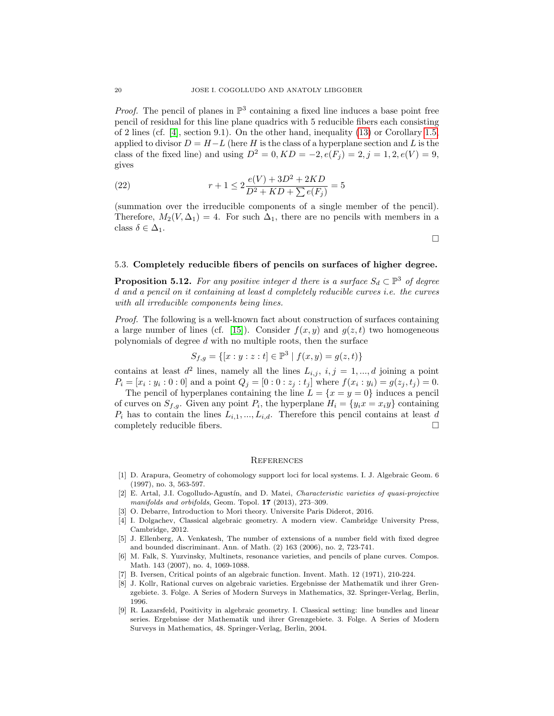*Proof.* The pencil of planes in  $\mathbb{P}^3$  containing a fixed line induces a base point free pencil of residual for this line plane quadrics with 5 reducible fibers each consisting of 2 lines (cf.  $[4]$ , section 9.1). On the other hand, inequality [\(13\)](#page-8-0) or Corollary [1.5,](#page-4-0) applied to divisor  $D = H - L$  (here H is the class of a hyperplane section and L is the class of the fixed line) and using  $D^2 = 0, KD = -2, e(F_j) = 2, j = 1, 2, e(V) = 9$ , gives

(22) 
$$
r + 1 \le 2 \frac{e(V) + 3D^2 + 2KD}{D^2 + KD + \sum e(F_j)} = 5
$$

(summation over the irreducible components of a single member of the pencil). Therefore,  $M_2(V, \Delta_1) = 4$ . For such  $\Delta_1$ , there are no pencils with members in a class  $\delta \in \Delta_1$ .

 $\Box$ 

#### 5.3. Completely reducible fibers of pencils on surfaces of higher degree.

<span id="page-19-8"></span>**Proposition 5.12.** For any positive integer d there is a surface  $S_d \subset \mathbb{P}^3$  of degree d and a pencil on it containing at least d completely reducible curves i.e. the curves with all irreducible components being lines.

Proof. The following is a well-known fact about construction of surfaces containing a large number of lines (cf. [\[15\]](#page-20-10)). Consider  $f(x, y)$  and  $g(z, t)$  two homogeneous polynomials of degree d with no multiple roots, then the surface

$$
S_{f,g} = \{ [x:y:z:t] \in \mathbb{P}^3 \mid f(x,y) = g(z,t) \}
$$

contains at least  $d^2$  lines, namely all the lines  $L_{i,j}$ ,  $i, j = 1, ..., d$  joining a point  $P_i = [x_i : y_i : 0 : 0]$  and a point  $Q_j = [0 : 0 : z_j : t_j]$  where  $f(x_i : y_i) = g(z_j, t_j) = 0$ .

The pencil of hyperplanes containing the line  $L = \{x = y = 0\}$  induces a pencil of curves on  $S_{f,g}$ . Given any point  $P_i$ , the hyperplane  $H_i = \{y_i x = x_i y\}$  containing  $P_i$  has to contain the lines  $L_{i,1},..., L_{i,d}$ . Therefore this pencil contains at least d completely reducible fibers.

#### **REFERENCES**

- <span id="page-19-1"></span>[1] D. Arapura, Geometry of cohomology support loci for local systems. I. J. Algebraic Geom. 6 (1997), no. 3, 563-597.
- <span id="page-19-2"></span>[2] E. Artal, J.I. Cogolludo-Agustín, and D. Matei, Characteristic varieties of quasi-projective manifolds and orbifolds, Geom. Topol. 17 (2013), 273–309.
- <span id="page-19-5"></span>[3] O. Debarre, Introduction to Mori theory. Universite Paris Diderot, 2016.
- <span id="page-19-9"></span>[4] I. Dolgachev, Classical algebraic geometry. A modern view. Cambridge University Press, Cambridge, 2012.
- <span id="page-19-0"></span>[5] J. Ellenberg, A. Venkatesh, The number of extensions of a number field with fixed degree and bounded discriminant. Ann. of Math. (2) 163 (2006), no. 2, 723-741.
- <span id="page-19-3"></span>[6] M. Falk, S. Yuzvinsky, Multinets, resonance varieties, and pencils of plane curves. Compos. Math. 143 (2007), no. 4, 1069-1088.
- <span id="page-19-7"></span>[7] B. Iversen, Critical points of an algebraic function. Invent. Math. 12 (1971), 210-224.
- <span id="page-19-6"></span>[8] J. Kollr, Rational curves on algebraic varieties. Ergebnisse der Mathematik und ihrer Grenzgebiete. 3. Folge. A Series of Modern Surveys in Mathematics, 32. Springer-Verlag, Berlin, 1996.
- <span id="page-19-4"></span>[9] R. Lazarsfeld, Positivity in algebraic geometry. I. Classical setting: line bundles and linear series. Ergebnisse der Mathematik und ihrer Grenzgebiete. 3. Folge. A Series of Modern Surveys in Mathematics, 48. Springer-Verlag, Berlin, 2004.